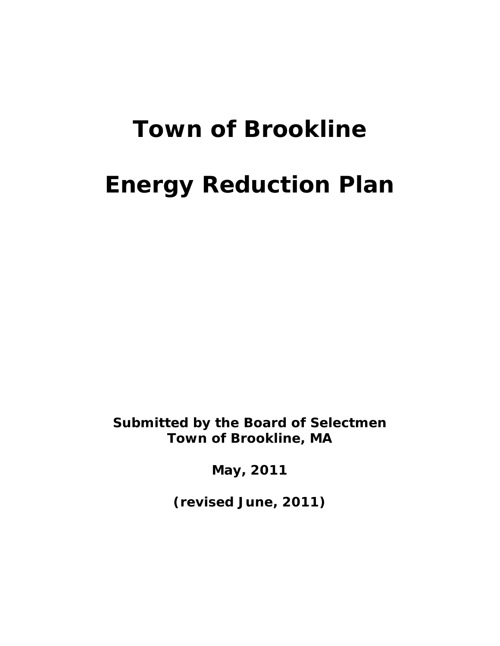# **Town of Brookline Energy Reduction Plan**

**Submitted by the Board of Selectmen Town of Brookline, MA**

**May, 2011**

**(revised June, 2011)**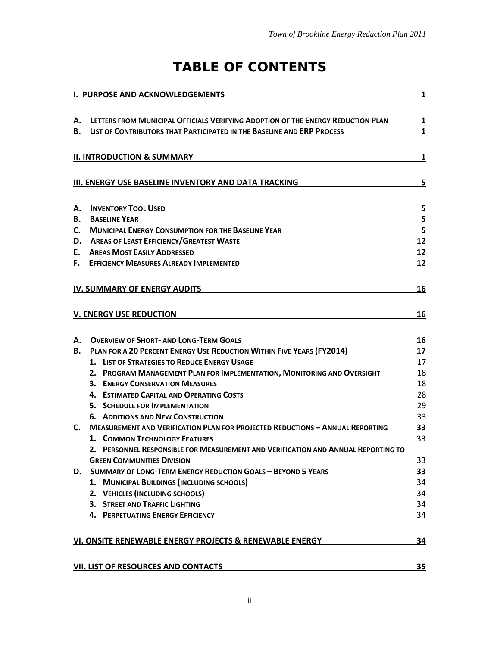# **TABLE OF CONTENTS**

|    | <b>I. PURPOSE AND ACKNOWLEDGEMENTS</b>                                                                                                                               | $\overline{\mathbf{1}}$ |
|----|----------------------------------------------------------------------------------------------------------------------------------------------------------------------|-------------------------|
| А. | LETTERS FROM MUNICIPAL OFFICIALS VERIFYING ADOPTION OF THE ENERGY REDUCTION PLAN<br><b>B. LIST OF CONTRIBUTORS THAT PARTICIPATED IN THE BASELINE AND ERP PROCESS</b> | 1<br>1                  |
|    | <b>II. INTRODUCTION &amp; SUMMARY</b>                                                                                                                                | 1                       |
|    | III. ENERGY USE BASELINE INVENTORY AND DATA TRACKING                                                                                                                 | $\overline{\mathbf{5}}$ |
| А. | <b>INVENTORY TOOL USED</b>                                                                                                                                           | 5                       |
| В. | <b>BASELINE YEAR</b>                                                                                                                                                 | 5                       |
| C. | <b>MUNICIPAL ENERGY CONSUMPTION FOR THE BASELINE YEAR</b>                                                                                                            | 5                       |
| D. | <b>AREAS OF LEAST EFFICIENCY/GREATEST WASTE</b>                                                                                                                      | 12                      |
|    | E. AREAS MOST EASILY ADDRESSED                                                                                                                                       | 12                      |
| F. | <b>EFFICIENCY MEASURES ALREADY IMPLEMENTED</b>                                                                                                                       | 12                      |
|    | IV. SUMMARY OF ENERGY AUDITS                                                                                                                                         | 16                      |
|    | <b>V. ENERGY USE REDUCTION</b>                                                                                                                                       | 16                      |
| А. | <b>OVERVIEW OF SHORT- AND LONG-TERM GOALS</b>                                                                                                                        | 16                      |
| В. | PLAN FOR A 20 PERCENT ENERGY USE REDUCTION WITHIN FIVE YEARS (FY2014)                                                                                                | 17                      |
|    | 1. LIST OF STRATEGIES TO REDUCE ENERGY USAGE                                                                                                                         | 17                      |
|    | 2. PROGRAM MANAGEMENT PLAN FOR IMPLEMENTATION, MONITORING AND OVERSIGHT                                                                                              | 18                      |
|    | <b>3. ENERGY CONSERVATION MEASURES</b>                                                                                                                               | 18                      |
|    | 4. ESTIMATED CAPITAL AND OPERATING COSTS                                                                                                                             | 28                      |
|    | 5. SCHEDULE FOR IMPLEMENTATION                                                                                                                                       | 29                      |
|    | <b>6. ADDITIONS AND NEW CONSTRUCTION</b>                                                                                                                             | 33                      |
| C. | <b>MEASUREMENT AND VERIFICATION PLAN FOR PROJECTED REDUCTIONS - ANNUAL REPORTING</b>                                                                                 | 33                      |
|    | 1. COMMON TECHNOLOGY FEATURES                                                                                                                                        | 33                      |
|    | 2. PERSONNEL RESPONSIBLE FOR MEASUREMENT AND VERIFICATION AND ANNUAL REPORTING TO                                                                                    |                         |
|    | <b>GREEN COMMUNITIES DIVISION</b>                                                                                                                                    | 33                      |
| D. | SUMMARY OF LONG-TERM ENERGY REDUCTION GOALS - BEYOND 5 YEARS                                                                                                         | 33                      |
|    | 1. MUNICIPAL BUILDINGS (INCLUDING SCHOOLS)                                                                                                                           | 34                      |
|    | 2. VEHICLES (INCLUDING SCHOOLS)                                                                                                                                      | 34                      |
|    | <b>3. STREET AND TRAFFIC LIGHTING</b>                                                                                                                                | 34                      |
|    | <b>4. PERPETUATING ENERGY EFFICIENCY</b>                                                                                                                             | 34                      |
|    | VI. ONSITE RENEWABLE ENERGY PROJECTS & RENEWABLE ENERGY                                                                                                              | 34                      |
|    | <b>VII. LIST OF RESOURCES AND CONTACTS</b>                                                                                                                           | 35                      |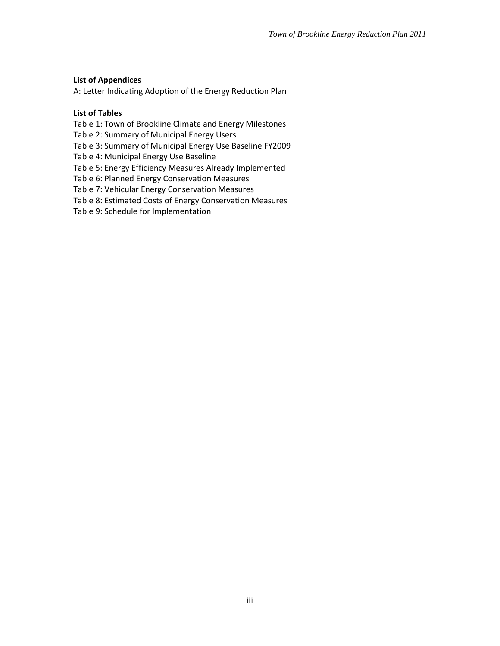#### **List of Appendices**

A: Letter Indicating Adoption of the Energy Reduction Plan

#### **List of Tables**

Table 1: Town of Brookline Climate and Energy Milestones

Table 2: Summary of Municipal Energy Users

Table 3: Summary of Municipal Energy Use Baseline FY2009

Table 4: Municipal Energy Use Baseline

Table 5: Energy Efficiency Measures Already Implemented

Table 6: Planned Energy Conservation Measures

Table 7: Vehicular Energy Conservation Measures

Table 8: Estimated Costs of Energy Conservation Measures

Table 9: Schedule for Implementation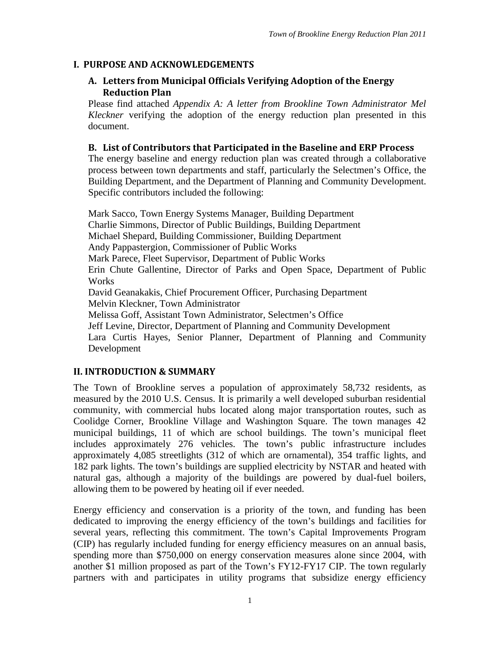# <span id="page-3-0"></span>**I. PURPOSE AND ACKNOWLEDGEMENTS**

## <span id="page-3-1"></span>**A. Letters from Municipal Officials Verifying Adoption of the Energy Reduction Plan**

Please find attached *Appendix A: A letter from Brookline Town Administrator Mel Kleckner* verifying the adoption of the energy reduction plan presented in this document.

#### <span id="page-3-2"></span>**B. List of Contributors that Participated in the Baseline and ERP Process**

The energy baseline and energy reduction plan was created through a collaborative process between town departments and staff, particularly the Selectmen's Office, the Building Department, and the Department of Planning and Community Development. Specific contributors included the following:

Mark Sacco, Town Energy Systems Manager, Building Department Charlie Simmons, Director of Public Buildings, Building Department Michael Shepard, Building Commissioner, Building Department Andy Pappastergion, Commissioner of Public Works Mark Parece, Fleet Supervisor, Department of Public Works Erin Chute Gallentine, Director of Parks and Open Space, Department of Public **Works** David Geanakakis, Chief Procurement Officer, Purchasing Department Melvin Kleckner, Town Administrator Melissa Goff, Assistant Town Administrator, Selectmen's Office Jeff Levine, Director, Department of Planning and Community Development Lara Curtis Hayes, Senior Planner, Department of Planning and Community Development

#### <span id="page-3-3"></span>**II. INTRODUCTION & SUMMARY**

The Town of Brookline serves a population of approximately 58,732 residents, as measured by the 2010 U.S. Census. It is primarily a well developed suburban residential community, with commercial hubs located along major transportation routes, such as Coolidge Corner, Brookline Village and Washington Square. The town manages 42 municipal buildings, 11 of which are school buildings. The town's municipal fleet includes approximately 276 vehicles. The town's public infrastructure includes approximately 4,085 streetlights (312 of which are ornamental), 354 traffic lights, and 182 park lights. The town's buildings are supplied electricity by NSTAR and heated with natural gas, although a majority of the buildings are powered by dual-fuel boilers, allowing them to be powered by heating oil if ever needed.

Energy efficiency and conservation is a priority of the town, and funding has been dedicated to improving the energy efficiency of the town's buildings and facilities for several years, reflecting this commitment. The town's Capital Improvements Program (CIP) has regularly included funding for energy efficiency measures on an annual basis, spending more than \$750,000 on energy conservation measures alone since 2004, with another \$1 million proposed as part of the Town's FY12-FY17 CIP. The town regularly partners with and participates in utility programs that subsidize energy efficiency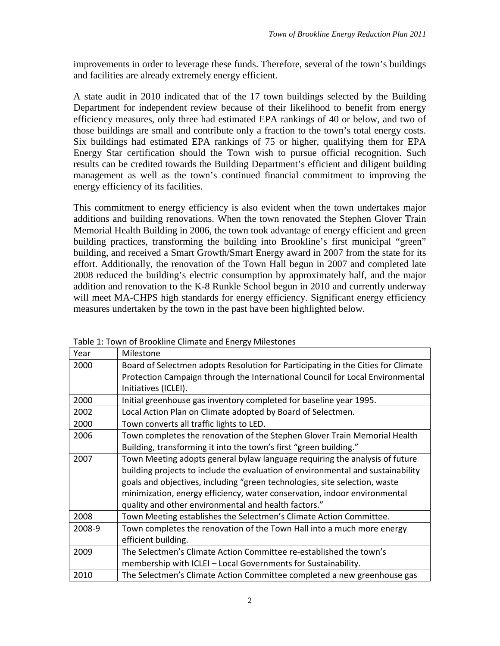improvements in order to leverage these funds. Therefore, several of the town's buildings and facilities are already extremely energy efficient.

A state audit in 2010 indicated that of the 17 town buildings selected by the Building Department for independent review because of their likelihood to benefit from energy efficiency measures, only three had estimated EPA rankings of 40 or below, and two of those buildings are small and contribute only a fraction to the town's total energy costs. Six buildings had estimated EPA rankings of 75 or higher, qualifying them for EPA Energy Star certification should the Town wish to pursue official recognition. Such results can be credited towards the Building Department's efficient and diligent building management as well as the town's continued financial commitment to improving the energy efficiency of its facilities.

This commitment to energy efficiency is also evident when the town undertakes major additions and building renovations. When the town renovated the Stephen Glover Train Memorial Health Building in 2006, the town took advantage of energy efficient and green building practices, transforming the building into Brookline's first municipal "green" building, and received a Smart Growth/Smart Energy award in 2007 from the state for its effort. Additionally, the renovation of the Town Hall begun in 2007 and completed late 2008 reduced the building's electric consumption by approximately half, and the major addition and renovation to the K-8 Runkle School begun in 2010 and currently underway will meet MA-CHPS high standards for energy efficiency. Significant energy efficiency measures undertaken by the town in the past have been highlighted below.

| Year   | Milestone                                                                        |
|--------|----------------------------------------------------------------------------------|
| 2000   | Board of Selectmen adopts Resolution for Participating in the Cities for Climate |
|        | Protection Campaign through the International Council for Local Environmental    |
|        | Initiatives (ICLEI).                                                             |
| 2000   | Initial greenhouse gas inventory completed for baseline year 1995.               |
| 2002   | Local Action Plan on Climate adopted by Board of Selectmen.                      |
| 2000   | Town converts all traffic lights to LED.                                         |
| 2006   | Town completes the renovation of the Stephen Glover Train Memorial Health        |
|        | Building, transforming it into the town's first "green building."                |
| 2007   | Town Meeting adopts general bylaw language requiring the analysis of future      |
|        | building projects to include the evaluation of environmental and sustainability  |
|        | goals and objectives, including "green technologies, site selection, waste       |
|        | minimization, energy efficiency, water conservation, indoor environmental        |
|        | quality and other environmental and health factors."                             |
| 2008   | Town Meeting establishes the Selectmen's Climate Action Committee.               |
| 2008-9 | Town completes the renovation of the Town Hall into a much more energy           |
|        | efficient building.                                                              |
| 2009   | The Selectmen's Climate Action Committee re-established the town's               |
|        | membership with ICLEI - Local Governments for Sustainability.                    |
| 2010   | The Selectmen's Climate Action Committee completed a new greenhouse gas          |

Table 1: Town of Brookline Climate and Energy Milestones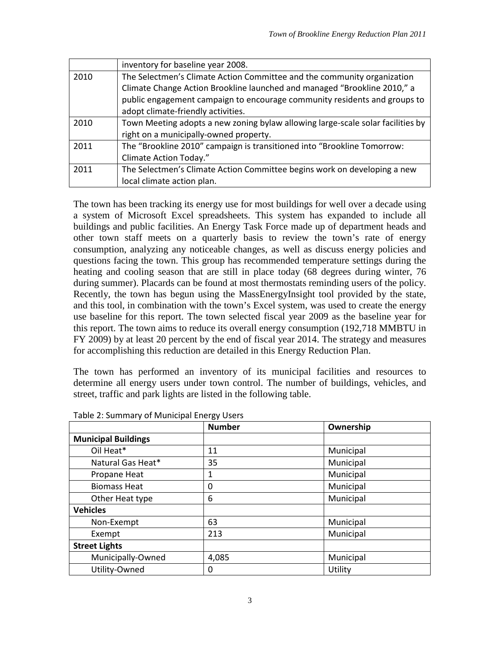|      | inventory for baseline year 2008.                                               |
|------|---------------------------------------------------------------------------------|
| 2010 | The Selectmen's Climate Action Committee and the community organization         |
|      | Climate Change Action Brookline launched and managed "Brookline 2010," a        |
|      | public engagement campaign to encourage community residents and groups to       |
|      | adopt climate-friendly activities.                                              |
| 2010 | Town Meeting adopts a new zoning bylaw allowing large-scale solar facilities by |
|      | right on a municipally-owned property.                                          |
| 2011 | The "Brookline 2010" campaign is transitioned into "Brookline Tomorrow:         |
|      | Climate Action Today."                                                          |
| 2011 | The Selectmen's Climate Action Committee begins work on developing a new        |
|      | local climate action plan.                                                      |

The town has been tracking its energy use for most buildings for well over a decade using a system of Microsoft Excel spreadsheets. This system has expanded to include all buildings and public facilities. An Energy Task Force made up of department heads and other town staff meets on a quarterly basis to review the town's rate of energy consumption, analyzing any noticeable changes, as well as discuss energy policies and questions facing the town. This group has recommended temperature settings during the heating and cooling season that are still in place today (68 degrees during winter, 76 during summer). Placards can be found at most thermostats reminding users of the policy. Recently, the town has begun using the MassEnergyInsight tool provided by the state, and this tool, in combination with the town's Excel system, was used to create the energy use baseline for this report. The town selected fiscal year 2009 as the baseline year for this report. The town aims to reduce its overall energy consumption (192,718 MMBTU in FY 2009) by at least 20 percent by the end of fiscal year 2014. The strategy and measures for accomplishing this reduction are detailed in this Energy Reduction Plan.

The town has performed an inventory of its municipal facilities and resources to determine all energy users under town control. The number of buildings, vehicles, and street, traffic and park lights are listed in the following table.

|                            | <b>Number</b> | Ownership |
|----------------------------|---------------|-----------|
| <b>Municipal Buildings</b> |               |           |
| Oil Heat*                  | 11            | Municipal |
| Natural Gas Heat*          | 35            | Municipal |
| Propane Heat               | 1             | Municipal |
| <b>Biomass Heat</b>        | 0             | Municipal |
| Other Heat type            | 6             | Municipal |
| <b>Vehicles</b>            |               |           |
| Non-Exempt                 | 63            | Municipal |
| Exempt                     | 213           | Municipal |
| <b>Street Lights</b>       |               |           |
| Municipally-Owned          | 4,085         | Municipal |
| Utility-Owned              | 0             | Utility   |

Table 2: Summary of Municipal Energy Users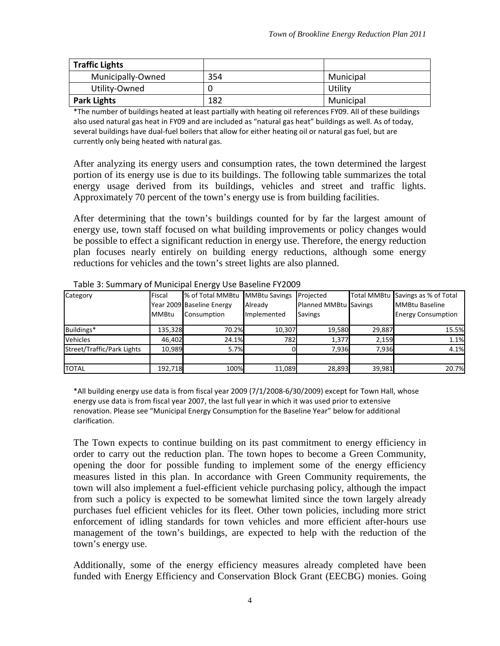| <b>Traffic Lights</b> |     |           |
|-----------------------|-----|-----------|
| Municipally-Owned     | 354 | Municipal |
| Utility-Owned         |     | Utility   |
| <b>Park Lights</b>    | 182 | Municipal |

\*The number of buildings heated at least partially with heating oil references FY09. All of these buildings also used natural gas heat in FY09 and are included as "natural gas heat" buildings as well. As of today, several buildings have dual-fuel boilers that allow for either heating oil or natural gas fuel, but are currently only being heated with natural gas.

After analyzing its energy users and consumption rates, the town determined the largest portion of its energy use is due to its buildings. The following table summarizes the total energy usage derived from its buildings, vehicles and street and traffic lights. Approximately 70 percent of the town's energy use is from building facilities.

After determining that the town's buildings counted for by far the largest amount of energy use, town staff focused on what building improvements or policy changes would be possible to effect a significant reduction in energy use. Therefore, the energy reduction plan focuses nearly entirely on building energy reductions, although some energy reductions for vehicles and the town's street lights are also planned.

| Category                   | Fiscal       | % of Total MMBtu          | <b>MMBtu Savings</b> | Projected             |        | Total MMBtu Savings as % of Total |
|----------------------------|--------------|---------------------------|----------------------|-----------------------|--------|-----------------------------------|
|                            |              | Year 2009 Baseline Energy | Already              | Planned MMBtu Savings |        | <b>MMBtu Baseline</b>             |
|                            | <b>MMBtu</b> | Consumption               | Implemented          | <b>Savings</b>        |        | <b>Energy Consumption</b>         |
| Buildings*                 | 135,328      | 70.2%                     | 10,307               | 19,580                | 29,887 | 15.5%                             |
| <b>Vehicles</b>            | 46.402       | 24.1%                     | 782                  | 1,377                 | 2,159  | 1.1%                              |
| Street/Traffic/Park Lights | 10.989       | 5.7%                      |                      | 7.936                 | 7.936  | 4.1%                              |
| <b>TOTAL</b>               | 192,718      | 100%                      | 11,089               | 28,893                | 39,981 | 20.7%                             |

Table 3: Summary of Municipal Energy Use Baseline FY2009

\*All building energy use data is from fiscal year 2009 (7/1/2008-6/30/2009) except for Town Hall, whose energy use data is from fiscal year 2007, the last full year in which it was used prior to extensive renovation. Please see "Municipal Energy Consumption for the Baseline Year" below for additional clarification.

The Town expects to continue building on its past commitment to energy efficiency in order to carry out the reduction plan. The town hopes to become a Green Community, opening the door for possible funding to implement some of the energy efficiency measures listed in this plan. In accordance with Green Community requirements, the town will also implement a fuel-efficient vehicle purchasing policy, although the impact from such a policy is expected to be somewhat limited since the town largely already purchases fuel efficient vehicles for its fleet. Other town policies, including more strict enforcement of idling standards for town vehicles and more efficient after-hours use management of the town's buildings, are expected to help with the reduction of the town's energy use.

Additionally, some of the energy efficiency measures already completed have been funded with Energy Efficiency and Conservation Block Grant (EECBG) monies. Going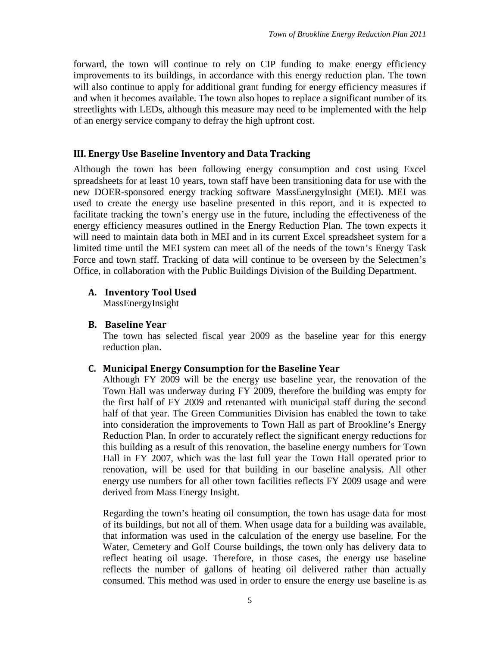forward, the town will continue to rely on CIP funding to make energy efficiency improvements to its buildings, in accordance with this energy reduction plan. The town will also continue to apply for additional grant funding for energy efficiency measures if and when it becomes available. The town also hopes to replace a significant number of its streetlights with LEDs, although this measure may need to be implemented with the help of an energy service company to defray the high upfront cost.

#### <span id="page-7-0"></span>**III. Energy Use Baseline Inventory and Data Tracking**

Although the town has been following energy consumption and cost using Excel spreadsheets for at least 10 years, town staff have been transitioning data for use with the new DOER-sponsored energy tracking software MassEnergyInsight (MEI). MEI was used to create the energy use baseline presented in this report, and it is expected to facilitate tracking the town's energy use in the future, including the effectiveness of the energy efficiency measures outlined in the Energy Reduction Plan. The town expects it will need to maintain data both in MEI and in its current Excel spreadsheet system for a limited time until the MEI system can meet all of the needs of the town's Energy Task Force and town staff. Tracking of data will continue to be overseen by the Selectmen's Office, in collaboration with the Public Buildings Division of the Building Department.

#### **A. Inventory Tool Used**

<span id="page-7-1"></span>MassEnergyInsight

#### **B. Baseline Year**

<span id="page-7-2"></span>The town has selected fiscal year 2009 as the baseline year for this energy reduction plan.

#### <span id="page-7-3"></span>**C. Municipal Energy Consumption for the Baseline Year**

Although FY 2009 will be the energy use baseline year, the renovation of the Town Hall was underway during FY 2009, therefore the building was empty for the first half of FY 2009 and retenanted with municipal staff during the second half of that year. The Green Communities Division has enabled the town to take into consideration the improvements to Town Hall as part of Brookline's Energy Reduction Plan. In order to accurately reflect the significant energy reductions for this building as a result of this renovation, the baseline energy numbers for Town Hall in FY 2007, which was the last full year the Town Hall operated prior to renovation, will be used for that building in our baseline analysis. All other energy use numbers for all other town facilities reflects FY 2009 usage and were derived from Mass Energy Insight.

Regarding the town's heating oil consumption, the town has usage data for most of its buildings, but not all of them. When usage data for a building was available, that information was used in the calculation of the energy use baseline. For the Water, Cemetery and Golf Course buildings, the town only has delivery data to reflect heating oil usage. Therefore, in those cases, the energy use baseline reflects the number of gallons of heating oil delivered rather than actually consumed. This method was used in order to ensure the energy use baseline is as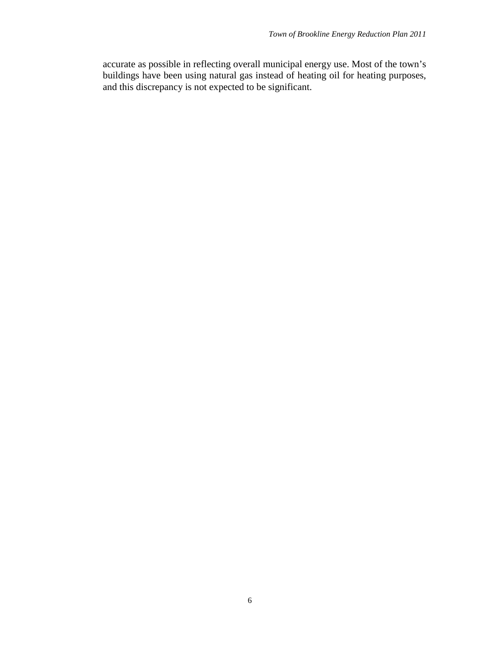accurate as possible in reflecting overall municipal energy use. Most of the town's buildings have been using natural gas instead of heating oil for heating purposes, and this discrepancy is not expected to be significant.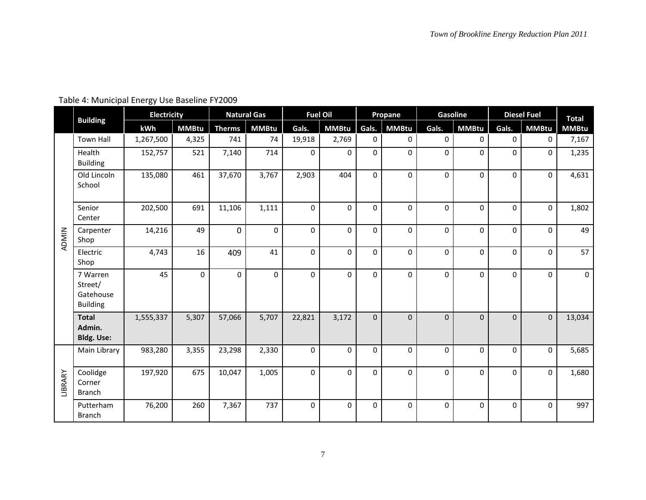|         | <b>Building</b><br>Town Hall                        | <b>Electricity</b> |              |                | <b>Natural Gas</b> | <b>Fuel Oil</b> |              |              | Propane      | <b>Gasoline</b> |              |             | <b>Diesel Fuel</b> | <b>Total</b> |
|---------|-----------------------------------------------------|--------------------|--------------|----------------|--------------------|-----------------|--------------|--------------|--------------|-----------------|--------------|-------------|--------------------|--------------|
|         |                                                     | kWh                | <b>MMBtu</b> | <b>Therms</b>  | <b>MMBtu</b>       | Gals.           | <b>MMBtu</b> | Gals.        | <b>MMBtu</b> | Gals.           | <b>MMBtu</b> | Gals.       | <b>MMBtu</b>       | <b>MMBtu</b> |
| ADMIN   |                                                     | 1,267,500          | 4,325        | 741            | 74                 | 19,918          | 2,769        | 0            | 0            | 0               | 0            | 0           | 0                  | 7,167        |
|         | Health<br><b>Building</b>                           | 152,757            | 521          | 7,140          | 714                | $\Omega$        | $\Omega$     | 0            | $\Omega$     | 0               | $\Omega$     | $\Omega$    | $\Omega$           | 1,235        |
|         | Old Lincoln<br>School                               | 135,080            | 461          | 37,670         | 3,767              | 2,903           | 404          | 0            | $\Omega$     | $\mathbf 0$     | 0            | $\Omega$    | $\mathbf 0$        | 4,631        |
|         | Senior<br>Center                                    | 202,500            | 691          | 11,106         | 1,111              | $\mathbf 0$     | $\Omega$     | 0            | $\mathbf 0$  | $\mathbf 0$     | 0            | $\Omega$    | $\mathbf 0$        | 1,802        |
|         | Carpenter<br>Shop                                   | 14,216             | 49           | $\overline{0}$ | $\mathbf 0$        | 0               | $\mathbf 0$  | 0            | 0            | $\pmb{0}$       | 0            | $\mathbf 0$ | $\Omega$           | 49           |
|         | Electric<br>Shop                                    | 4,743              | 16           | 409            | 41                 | 0               | $\Omega$     | 0            | $\Omega$     | 0               | 0            | $\Omega$    | $\Omega$           | 57           |
|         | 7 Warren<br>Street/<br>Gatehouse<br><b>Building</b> | 45                 | 0            | $\Omega$       | $\mathbf 0$        | $\Omega$        | $\Omega$     | 0            | $\Omega$     | $\mathbf 0$     | $\Omega$     | $\Omega$    | $\Omega$           | $\mathbf 0$  |
|         | <b>Total</b><br>Admin.<br><b>Bldg. Use:</b>         | 1,555,337          | 5,307        | 57,066         | 5,707              | 22,821          | 3,172        | $\mathbf{0}$ | $\Omega$     | $\mathbf 0$     | $\Omega$     | $\Omega$    | $\Omega$           | 13,034       |
|         | Main Library                                        | 983,280            | 3,355        | 23,298         | 2,330              | $\Omega$        | $\Omega$     | 0            | $\Omega$     | $\mathbf 0$     | 0            | $\Omega$    | $\Omega$           | 5,685        |
| LIBRARY | Coolidge<br>Corner<br><b>Branch</b>                 | 197,920            | 675          | 10,047         | 1,005              | $\Omega$        | 0            | 0            | $\Omega$     | 0               | 0            | $\mathbf 0$ | $\Omega$           | 1,680        |
|         | Putterham<br><b>Branch</b>                          | 76,200             | 260          | 7,367          | 737                | 0               | $\mathbf 0$  | 0            | 0            | $\pmb{0}$       | 0            | $\Omega$    | $\Omega$           | 997          |

# Table 4: Municipal Energy Use Baseline FY2009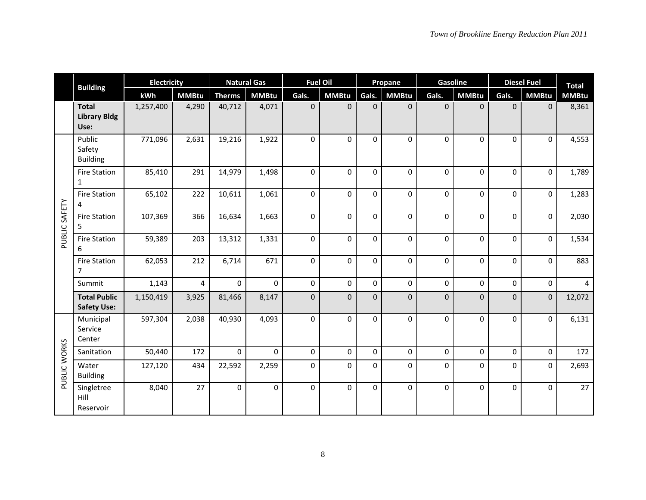|               | <b>Building</b><br><b>Total</b><br><b>Library Bldg</b> | <b>Electricity</b> |                |               | <b>Natural Gas</b> | <b>Fuel Oil</b> |              |                | Propane      | Gasoline    |                  |             | <b>Diesel Fuel</b> | <b>Total</b> |
|---------------|--------------------------------------------------------|--------------------|----------------|---------------|--------------------|-----------------|--------------|----------------|--------------|-------------|------------------|-------------|--------------------|--------------|
|               |                                                        | kWh                | <b>MMBtu</b>   | <b>Therms</b> | <b>MMBtu</b>       | Gals.           | <b>MMBtu</b> | Gals.          | <b>MMBtu</b> | Gals.       | <b>MMBtu</b>     | Gals.       | <b>MMBtu</b>       | <b>MMBtu</b> |
|               | Use:                                                   | 1,257,400          | 4,290          | 40,712        | 4,071              | $\Omega$        | $\Omega$     | $\overline{0}$ | $\mathbf{0}$ | $\mathbf 0$ | $\mathbf{0}$     | $\Omega$    | $\mathbf{0}$       | 8,361        |
|               | Public<br>Safety<br><b>Building</b>                    | 771,096            | 2,631          | 19,216        | 1,922              | $\Omega$        | $\Omega$     | 0              | $\Omega$     | 0           | $\Omega$         | $\Omega$    | $\Omega$           | 4,553        |
|               | <b>Fire Station</b><br>1                               | 85,410             | 291            | 14,979        | 1,498              | 0               | 0            | 0              | 0            | 0           | $\mathbf 0$      | 0           | 0                  | 1,789        |
|               | <b>Fire Station</b><br>4                               | 65,102             | 222            | 10,611        | 1,061              | $\mathbf 0$     | $\mathbf 0$  | 0              | 0            | 0           | $\mathbf 0$      | $\mathbf 0$ | $\mathbf 0$        | 1,283        |
| PUBLIC SAFETY | <b>Fire Station</b><br>5                               | 107,369            | 366            | 16,634        | 1,663              | 0               | $\Omega$     | 0              | 0            | $\pmb{0}$   | $\mathbf 0$      | 0           | 0                  | 2,030        |
|               | <b>Fire Station</b><br>6                               | 59,389             | 203            | 13,312        | 1,331              | 0               | 0            | $\mathbf 0$    | 0            | $\mathbf 0$ | $\mathbf 0$      | 0           | 0                  | 1,534        |
|               | <b>Fire Station</b><br>7                               | 62,053             | 212            | 6,714         | 671                | 0               | $\mathbf 0$  | $\mathbf 0$    | $\mathbf 0$  | $\mathbf 0$ | $\mathbf 0$      | $\mathbf 0$ | $\Omega$           | 883          |
|               | Summit                                                 | 1,143              | $\overline{4}$ | $\mathbf{0}$  | $\Omega$           | 0               | $\mathbf 0$  | $\pmb{0}$      | $\pmb{0}$    | $\mathbf 0$ | $\boldsymbol{0}$ | 0           | 0                  | 4            |
|               | <b>Total Public</b><br><b>Safety Use:</b>              | 1,150,419          | 3,925          | 81,466        | 8,147              | $\mathbf 0$     | $\mathbf{0}$ | $\overline{0}$ | $\mathbf 0$  | $\pmb{0}$   | $\mathbf 0$      | $\mathbf 0$ | $\mathbf{0}$       | 12,072       |
|               | Municipal<br>Service<br>Center                         | 597,304            | 2,038          | 40,930        | 4,093              | $\Omega$        | $\Omega$     | $\Omega$       | $\Omega$     | 0           | $\Omega$         | $\Omega$    | $\mathbf 0$        | 6,131        |
|               | Sanitation                                             | 50,440             | 172            | $\mathbf{0}$  | $\Omega$           | $\Omega$        | $\Omega$     | $\Omega$       | $\Omega$     | $\mathbf 0$ | $\Omega$         | $\Omega$    | $\Omega$           | 172          |
| PUBLIC WORKS  | Water<br><b>Building</b>                               | 127,120            | 434            | 22,592        | 2,259              | $\Omega$        | 0            | 0              | $\Omega$     | 0           | 0                | $\Omega$    | 0                  | 2,693        |
|               | Singletree<br>Hill<br>Reservoir                        | 8,040              | 27             | $\mathbf 0$   | $\mathbf 0$        | 0               | $\mathbf 0$  | $\mathbf 0$    | $\Omega$     | 0           | $\mathbf 0$      | 0           | $\Omega$           | 27           |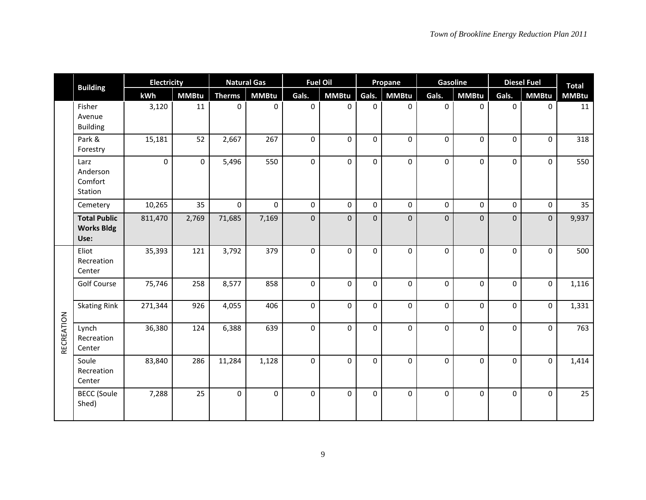|            | <b>Building</b><br>Fisher                        | <b>Electricity</b> |              |               | <b>Natural Gas</b> |             | <b>Fuel Oil</b>  | Propane     |              | Gasoline    |              | <b>Diesel Fuel</b> |              | <b>Total</b> |
|------------|--------------------------------------------------|--------------------|--------------|---------------|--------------------|-------------|------------------|-------------|--------------|-------------|--------------|--------------------|--------------|--------------|
|            |                                                  | kWh                | <b>MMBtu</b> | <b>Therms</b> | <b>MMBtu</b>       | Gals.       | <b>MMBtu</b>     | Gals.       | <b>MMBtu</b> | Gals.       | <b>MMBtu</b> | Gals.              | <b>MMBtu</b> | <b>MMBtu</b> |
|            | Avenue<br><b>Building</b>                        | 3,120              | 11           | 0             | 0                  | $\mathbf 0$ | 0                | $\mathbf 0$ | 0            | 0           | 0            | $\Omega$           | $\mathbf 0$  | 11           |
|            | Park &<br>Forestry                               | 15,181             | 52           | 2,667         | 267                | $\pmb{0}$   | $\boldsymbol{0}$ | $\pmb{0}$   | 0            | $\pmb{0}$   | 0            | 0                  | $\pmb{0}$    | 318          |
|            | Larz<br>Anderson<br>Comfort<br>Station           | $\mathbf{0}$       | $\mathbf 0$  | 5,496         | 550                | $\mathbf 0$ | $\mathbf 0$      | $\mathbf 0$ | $\mathbf{0}$ | $\mathbf 0$ | $\mathbf 0$  | $\mathbf 0$        | $\mathbf 0$  | 550          |
|            | Cemetery                                         | 10,265             | 35           | 0             | 0                  | 0           | $\mathbf 0$      | $\pmb{0}$   | 0            | $\pmb{0}$   | 0            | $\mathbf 0$        | 0            | 35           |
|            | <b>Total Public</b><br><b>Works Bldg</b><br>Use: | 811,470            | 2,769        | 71,685        | 7,169              | $\pmb{0}$   | $\boldsymbol{0}$ | $\pmb{0}$   | 0            | $\pmb{0}$   | $\mathbf 0$  | $\Omega$           | $\pmb{0}$    | 9,937        |
|            | Eliot<br>Recreation<br>Center                    | 35,393             | 121          | 3,792         | 379                | $\mathbf 0$ | $\mathbf 0$      | $\mathbf 0$ | $\Omega$     | $\pmb{0}$   | $\Omega$     | $\Omega$           | $\mathbf 0$  | 500          |
|            | <b>Golf Course</b>                               | 75,746             | 258          | 8,577         | 858                | $\mathbf 0$ | 0                | $\pmb{0}$   | 0            | $\pmb{0}$   | $\mathbf 0$  | 0                  | $\mathbf 0$  | 1,116        |
|            | <b>Skating Rink</b>                              | 271,344            | 926          | 4,055         | 406                | 0           | $\mathbf 0$      | 0           | 0            | 0           | $\Omega$     | $\Omega$           | 0            | 1,331        |
| RECREATION | Lynch<br>Recreation<br>Center                    | 36,380             | 124          | 6,388         | 639                | $\mathbf 0$ | $\mathbf 0$      | $\mathbf 0$ | 0            | $\mathbf 0$ | 0            | 0                  | $\mathbf 0$  | 763          |
|            | Soule<br>Recreation<br>Center                    | 83,840             | 286          | 11,284        | 1,128              | $\Omega$    | $\Omega$         | $\Omega$    | $\Omega$     | 0           | $\Omega$     | $\Omega$           | $\Omega$     | 1,414        |
|            | <b>BECC</b> (Soule<br>Shed)                      | 7,288              | 25           | $\mathbf 0$   | 0                  | $\mathbf 0$ | 0                | 0           | $\Omega$     | $\pmb{0}$   | 0            | $\Omega$           | 0            | 25           |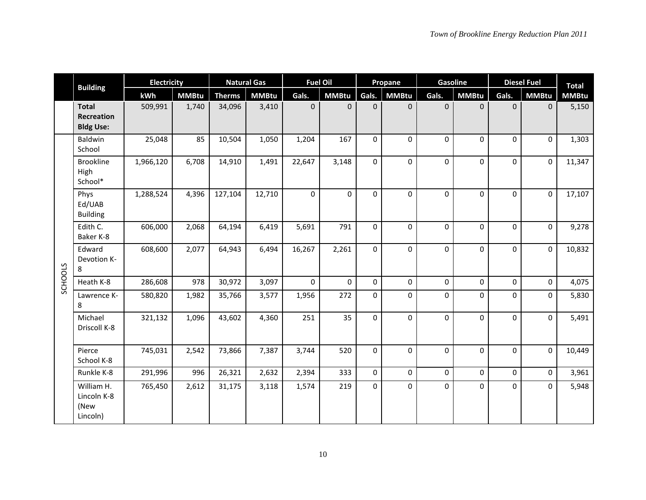|         | <b>Building</b><br><b>Total</b>               | <b>Electricity</b> |              |               | <b>Natural Gas</b> | <b>Fuel Oil</b> |              |                  | Propane      | Gasoline    |              |              | <b>Diesel Fuel</b> | <b>Total</b> |
|---------|-----------------------------------------------|--------------------|--------------|---------------|--------------------|-----------------|--------------|------------------|--------------|-------------|--------------|--------------|--------------------|--------------|
|         |                                               | kWh                | <b>MMBtu</b> | <b>Therms</b> | <b>MMBtu</b>       | Gals.           | <b>MMBtu</b> | Gals.            | <b>MMBtu</b> | Gals.       | <b>MMBtu</b> | Gals.        | <b>MMBtu</b>       | <b>MMBtu</b> |
|         | <b>Recreation</b><br><b>Bldg Use:</b>         | 509,991            | 1,740        | 34,096        | 3,410              | $\mathbf{0}$    | $\mathbf{0}$ | $\pmb{0}$        | $\mathbf 0$  | $\pmb{0}$   | $\mathbf 0$  | $\mathbf{0}$ | $\mathbf{0}$       | 5,150        |
|         | Baldwin<br>School                             | 25,048             | 85           | 10,504        | 1,050              | 1,204           | 167          | $\mathbf 0$      | $\Omega$     | 0           | $\Omega$     | $\Omega$     | 0                  | 1,303        |
|         | <b>Brookline</b><br>High<br>School*           | 1,966,120          | 6,708        | 14,910        | 1,491              | 22,647          | 3,148        | 0                | $\Omega$     | $\Omega$    | 0            | $\Omega$     | $\Omega$           | 11,347       |
|         | Phys<br>Ed/UAB<br><b>Building</b>             | 1,288,524          | 4,396        | 127,104       | 12,710             | $\Omega$        | $\mathbf 0$  | $\boldsymbol{0}$ | $\mathbf 0$  | $\mathbf 0$ | 0            | $\Omega$     | $\mathbf 0$        | 17,107       |
|         | Edith C.<br>Baker K-8                         | 606,000            | 2,068        | 64,194        | 6,419              | 5,691           | 791          | $\mathbf 0$      | $\Omega$     | $\Omega$    | $\Omega$     | $\Omega$     | $\Omega$           | 9,278        |
|         | Edward<br>Devotion K-<br>8                    | 608,600            | 2,077        | 64,943        | 6,494              | 16,267          | 2,261        | 0                | $\mathbf 0$  | $\pmb{0}$   | 0            | 0            | $\mathbf 0$        | 10,832       |
| SCHOOLS | Heath K-8                                     | 286,608            | 978          | 30,972        | 3,097              | $\Omega$        | $\Omega$     | 0                | $\mathbf 0$  | 0           | $\Omega$     | $\Omega$     | $\mathbf 0$        | 4,075        |
|         | Lawrence K-<br>8                              | 580,820            | 1,982        | 35,766        | 3,577              | 1,956           | 272          | 0                | 0            | $\pmb{0}$   | 0            | $\mathbf 0$  | 0                  | 5,830        |
|         | Michael<br>Driscoll K-8                       | 321,132            | 1,096        | 43,602        | 4,360              | 251             | 35           | $\boldsymbol{0}$ | $\mathbf 0$  | $\pmb{0}$   | 0            | $\Omega$     | $\mathbf 0$        | 5,491        |
|         | Pierce<br>School K-8                          | 745,031            | 2,542        | 73,866        | 7,387              | 3,744           | 520          | $\boldsymbol{0}$ | 0            | 0           | $\Omega$     | $\mathbf 0$  | $\Omega$           | 10,449       |
|         | Runkle K-8                                    | 291,996            | 996          | 26,321        | 2,632              | 2,394           | 333          | $\mathbf 0$      | $\mathbf 0$  | $\mathbf 0$ | 0            | 0            | $\mathbf 0$        | 3,961        |
|         | William H.<br>Lincoln K-8<br>(New<br>Lincoln) | 765,450            | 2,612        | 31,175        | 3,118              | 1,574           | 219          | 0                | 0            | $\Omega$    | 0            | $\Omega$     | $\Omega$           | 5,948        |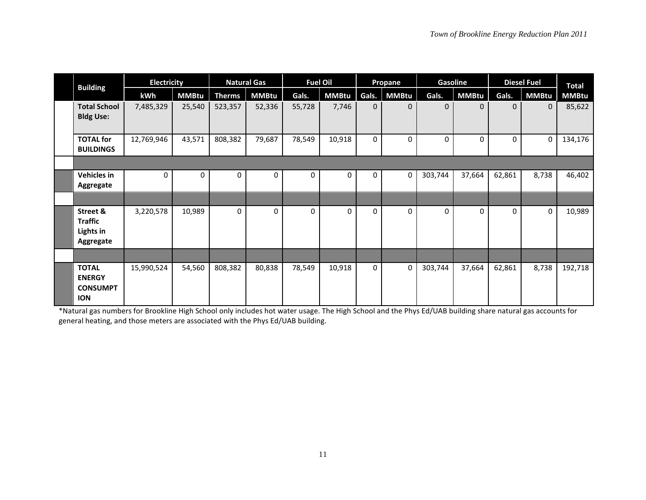| <b>Building</b>                                                | <b>Electricity</b> |              |               | <b>Natural Gas</b> |              | <b>Fuel Oil</b> |              | Propane      | Gasoline     |              |          | <b>Diesel Fuel</b> | <b>Total</b> |
|----------------------------------------------------------------|--------------------|--------------|---------------|--------------------|--------------|-----------------|--------------|--------------|--------------|--------------|----------|--------------------|--------------|
|                                                                | kWh                | <b>MMBtu</b> | <b>Therms</b> | <b>MMBtu</b>       | Gals.        | <b>MMBtu</b>    | Gals.        | <b>MMBtu</b> | Gals.        | <b>MMBtu</b> | Gals.    | <b>MMBtu</b>       | <b>MMBtu</b> |
| <b>Total School</b><br><b>Bldg Use:</b>                        | 7,485,329          | 25,540       | 523,357       | 52,336             | 55,728       | 7,746           | $\mathbf{0}$ | $\Omega$     | $\mathbf{0}$ | $\Omega$     | $\Omega$ | $\mathbf{0}$       | 85,622       |
| <b>TOTAL for</b><br><b>BUILDINGS</b>                           | 12,769,946         | 43,571       | 808,382       | 79,687             | 78,549       | 10,918          | 0            | $\mathbf 0$  | $\mathbf 0$  | 0            | 0        | $\mathbf 0$        | 134,176      |
|                                                                |                    |              |               |                    |              |                 |              |              |              |              |          |                    |              |
| <b>Vehicles in</b><br>Aggregate                                | 0                  | 0            | 0             | 0                  | $\Omega$     | $\Omega$        | $\Omega$     | 0            | 303,744      | 37,664       | 62,861   | 8,738              | 46,402       |
|                                                                |                    |              |               |                    |              |                 |              |              |              |              |          |                    |              |
| Street &<br><b>Traffic</b><br>Lights in<br>Aggregate           | 3,220,578          | 10,989       | 0             | $\Omega$           | $\mathbf{0}$ | $\Omega$        | $\Omega$     | $\mathbf{0}$ | $\Omega$     | $\Omega$     | $\Omega$ | $\mathbf 0$        | 10,989       |
|                                                                |                    |              |               |                    |              |                 |              |              |              |              |          |                    |              |
| <b>TOTAL</b><br><b>ENERGY</b><br><b>CONSUMPT</b><br><b>ION</b> | 15,990,524         | 54,560       | 808,382       | 80,838             | 78,549       | 10,918          | 0            | $\Omega$     | 303,744      | 37,664       | 62,861   | 8,738              | 192,718      |

\*Natural gas numbers for Brookline High School only includes hot water usage. The High School and the Phys Ed/UAB building share natural gas accounts for general heating, and those meters are associated with the Phys Ed/UAB building.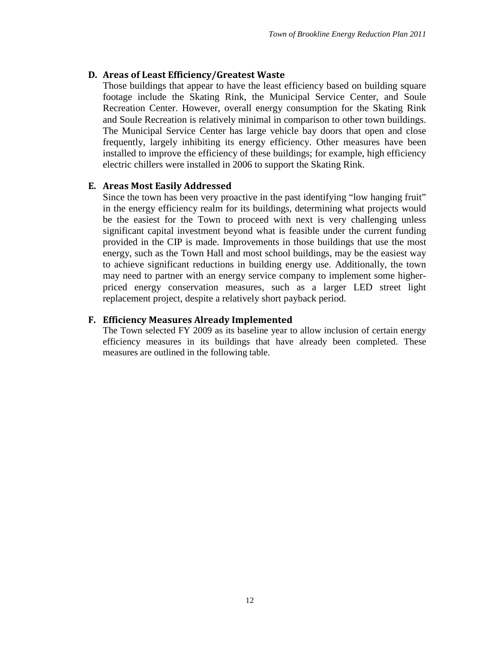#### <span id="page-14-0"></span>**D. Areas of Least Efficiency/Greatest Waste**

Those buildings that appear to have the least efficiency based on building square footage include the Skating Rink, the Municipal Service Center, and Soule Recreation Center. However, overall energy consumption for the Skating Rink and Soule Recreation is relatively minimal in comparison to other town buildings. The Municipal Service Center has large vehicle bay doors that open and close frequently, largely inhibiting its energy efficiency. Other measures have been installed to improve the efficiency of these buildings; for example, high efficiency electric chillers were installed in 2006 to support the Skating Rink.

#### <span id="page-14-1"></span>**E. Areas Most Easily Addressed**

Since the town has been very proactive in the past identifying "low hanging fruit" in the energy efficiency realm for its buildings, determining what projects would be the easiest for the Town to proceed with next is very challenging unless significant capital investment beyond what is feasible under the current funding provided in the CIP is made. Improvements in those buildings that use the most energy, such as the Town Hall and most school buildings, may be the easiest way to achieve significant reductions in building energy use. Additionally, the town may need to partner with an energy service company to implement some higherpriced energy conservation measures, such as a larger LED street light replacement project, despite a relatively short payback period.

#### <span id="page-14-2"></span>**F. Efficiency Measures Already Implemented**

The Town selected FY 2009 as its baseline year to allow inclusion of certain energy efficiency measures in its buildings that have already been completed. These measures are outlined in the following table.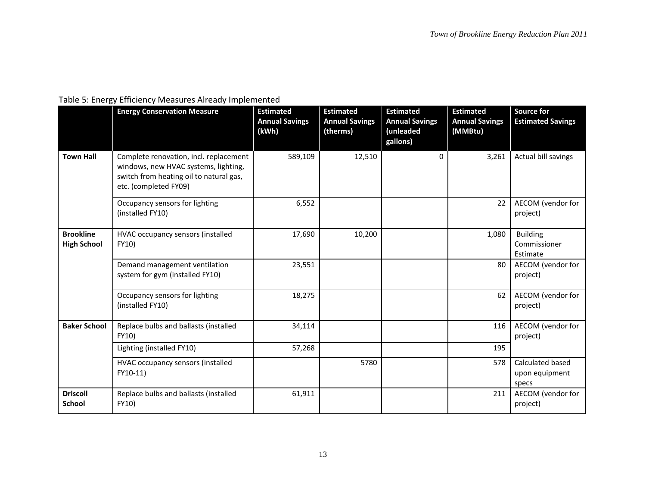# Table 5: Energy Efficiency Measures Already Implemented

|                                        | <b>Energy Conservation Measure</b>                                                                                                                 | <b>Estimated</b><br><b>Annual Savings</b><br>(kWh) | <b>Estimated</b><br><b>Annual Savings</b><br>(therms) | <b>Estimated</b><br><b>Annual Savings</b><br>(unleaded<br>gallons) | <b>Estimated</b><br><b>Annual Savings</b><br>(MMBtu) | <b>Source for</b><br><b>Estimated Savings</b> |
|----------------------------------------|----------------------------------------------------------------------------------------------------------------------------------------------------|----------------------------------------------------|-------------------------------------------------------|--------------------------------------------------------------------|------------------------------------------------------|-----------------------------------------------|
| <b>Town Hall</b>                       | Complete renovation, incl. replacement<br>windows, new HVAC systems, lighting,<br>switch from heating oil to natural gas,<br>etc. (completed FY09) | 589,109                                            | 12,510                                                | 0                                                                  | 3,261                                                | Actual bill savings                           |
|                                        | Occupancy sensors for lighting<br>(installed FY10)                                                                                                 | 6,552                                              |                                                       |                                                                    | 22                                                   | AECOM (vendor for<br>project)                 |
| <b>Brookline</b><br><b>High School</b> | HVAC occupancy sensors (installed<br>FY10)                                                                                                         | 17,690                                             | 10,200                                                |                                                                    | 1,080                                                | <b>Building</b><br>Commissioner<br>Estimate   |
|                                        | Demand management ventilation<br>system for gym (installed FY10)                                                                                   | 23,551                                             |                                                       |                                                                    | 80                                                   | AECOM (vendor for<br>project)                 |
|                                        | Occupancy sensors for lighting<br>(installed FY10)                                                                                                 | 18,275                                             |                                                       |                                                                    | 62                                                   | AECOM (vendor for<br>project)                 |
| <b>Baker School</b>                    | Replace bulbs and ballasts (installed<br>FY10)                                                                                                     | 34,114                                             |                                                       |                                                                    | 116                                                  | AECOM (vendor for<br>project)                 |
|                                        | Lighting (installed FY10)                                                                                                                          | 57,268                                             |                                                       |                                                                    | 195                                                  |                                               |
|                                        | HVAC occupancy sensors (installed<br>FY10-11)                                                                                                      |                                                    | 5780                                                  |                                                                    | 578                                                  | Calculated based<br>upon equipment<br>specs   |
| <b>Driscoll</b><br>School              | Replace bulbs and ballasts (installed<br>FY10)                                                                                                     | 61,911                                             |                                                       |                                                                    | 211                                                  | AECOM (vendor for<br>project)                 |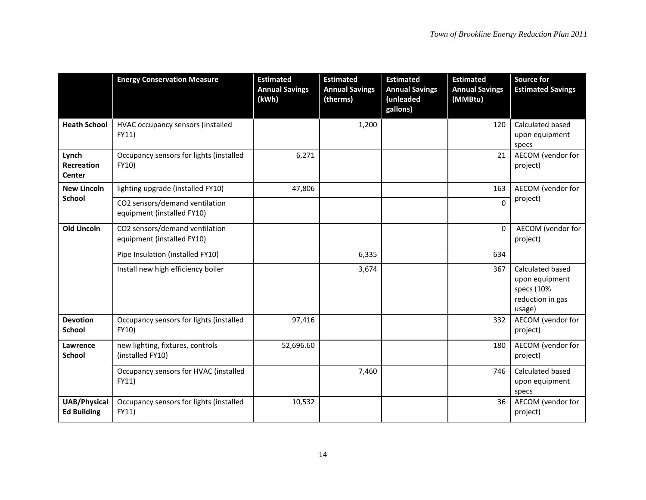|                                           | <b>Energy Conservation Measure</b>                           | <b>Estimated</b><br><b>Annual Savings</b><br>(kWh) | <b>Estimated</b><br><b>Annual Savings</b><br>(therms) | <b>Estimated</b><br><b>Annual Savings</b><br>(unleaded<br>gallons) | <b>Estimated</b><br><b>Annual Savings</b><br>(MMBtu) | <b>Source for</b><br><b>Estimated Savings</b>                                  |
|-------------------------------------------|--------------------------------------------------------------|----------------------------------------------------|-------------------------------------------------------|--------------------------------------------------------------------|------------------------------------------------------|--------------------------------------------------------------------------------|
| <b>Heath School</b>                       | HVAC occupancy sensors (installed<br>FY11)                   |                                                    | 1,200                                                 |                                                                    | 120                                                  | Calculated based<br>upon equipment<br>specs                                    |
| Lynch<br><b>Recreation</b><br>Center      | Occupancy sensors for lights (installed<br>FY10)             | 6,271                                              |                                                       |                                                                    | 21                                                   | AECOM (vendor for<br>project)                                                  |
| <b>New Lincoln</b>                        | lighting upgrade (installed FY10)                            | 47,806                                             |                                                       |                                                                    | 163                                                  | AECOM (vendor for                                                              |
| <b>School</b>                             | CO2 sensors/demand ventilation<br>equipment (installed FY10) |                                                    |                                                       |                                                                    | $\overline{0}$                                       | project)                                                                       |
| <b>Old Lincoln</b>                        | CO2 sensors/demand ventilation<br>equipment (installed FY10) |                                                    |                                                       |                                                                    | 0                                                    | AECOM (vendor for<br>project)                                                  |
|                                           | Pipe Insulation (installed FY10)                             |                                                    | 6,335                                                 |                                                                    | 634                                                  |                                                                                |
|                                           | Install new high efficiency boiler                           |                                                    | 3,674                                                 |                                                                    | 367                                                  | Calculated based<br>upon equipment<br>specs (10%<br>reduction in gas<br>usage) |
| <b>Devotion</b><br><b>School</b>          | Occupancy sensors for lights (installed<br>FY10)             | 97,416                                             |                                                       |                                                                    | 332                                                  | AECOM (vendor for<br>project)                                                  |
| Lawrence<br><b>School</b>                 | new lighting, fixtures, controls<br>(installed FY10)         | 52,696.60                                          |                                                       |                                                                    | 180                                                  | AECOM (vendor for<br>project)                                                  |
|                                           | Occupancy sensors for HVAC (installed<br>FY11)               |                                                    | 7,460                                                 |                                                                    | 746                                                  | Calculated based<br>upon equipment<br>specs                                    |
| <b>UAB/Physical</b><br><b>Ed Building</b> | Occupancy sensors for lights (installed<br>FY11)             | 10,532                                             |                                                       |                                                                    | 36                                                   | AECOM (vendor for<br>project)                                                  |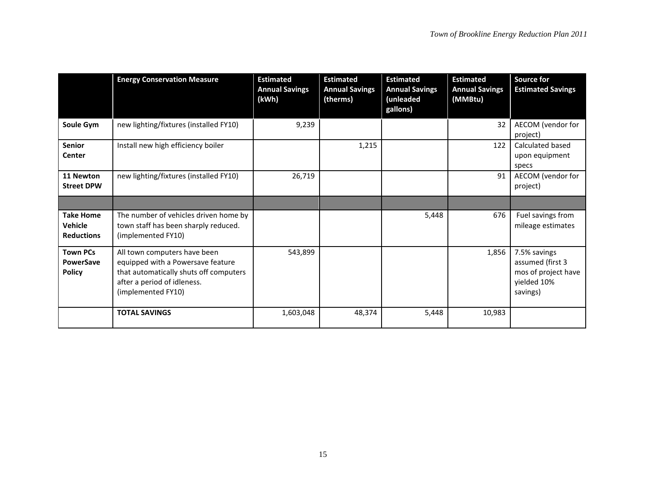|                                                  | <b>Energy Conservation Measure</b>                                                                                                                               | <b>Estimated</b><br><b>Annual Savings</b><br>(kWh) | <b>Estimated</b><br><b>Annual Savings</b><br>(therms) | <b>Estimated</b><br><b>Annual Savings</b><br>(unleaded<br>gallons) | <b>Estimated</b><br><b>Annual Savings</b><br>(MMBtu) | <b>Source for</b><br><b>Estimated Savings</b>                                      |
|--------------------------------------------------|------------------------------------------------------------------------------------------------------------------------------------------------------------------|----------------------------------------------------|-------------------------------------------------------|--------------------------------------------------------------------|------------------------------------------------------|------------------------------------------------------------------------------------|
| Soule Gym                                        | new lighting/fixtures (installed FY10)                                                                                                                           | 9,239                                              |                                                       |                                                                    | 32                                                   | AECOM (vendor for<br>project)                                                      |
| Senior<br>Center                                 | Install new high efficiency boiler                                                                                                                               |                                                    | 1,215                                                 |                                                                    | 122                                                  | Calculated based<br>upon equipment<br>specs                                        |
| 11 Newton<br><b>Street DPW</b>                   | new lighting/fixtures (installed FY10)                                                                                                                           | 26,719                                             |                                                       |                                                                    | 91                                                   | AECOM (vendor for<br>project)                                                      |
|                                                  |                                                                                                                                                                  |                                                    |                                                       |                                                                    |                                                      |                                                                                    |
| <b>Take Home</b><br>Vehicle<br><b>Reductions</b> | The number of vehicles driven home by<br>town staff has been sharply reduced.<br>(implemented FY10)                                                              |                                                    |                                                       | 5,448                                                              | 676                                                  | Fuel savings from<br>mileage estimates                                             |
| <b>Town PCs</b><br>PowerSave<br><b>Policy</b>    | All town computers have been<br>equipped with a Powersave feature<br>that automatically shuts off computers<br>after a period of idleness.<br>(implemented FY10) | 543,899                                            |                                                       |                                                                    | 1,856                                                | 7.5% savings<br>assumed (first 3<br>mos of project have<br>yielded 10%<br>savings) |
|                                                  | <b>TOTAL SAVINGS</b>                                                                                                                                             | 1,603,048                                          | 48,374                                                | 5,448                                                              | 10,983                                               |                                                                                    |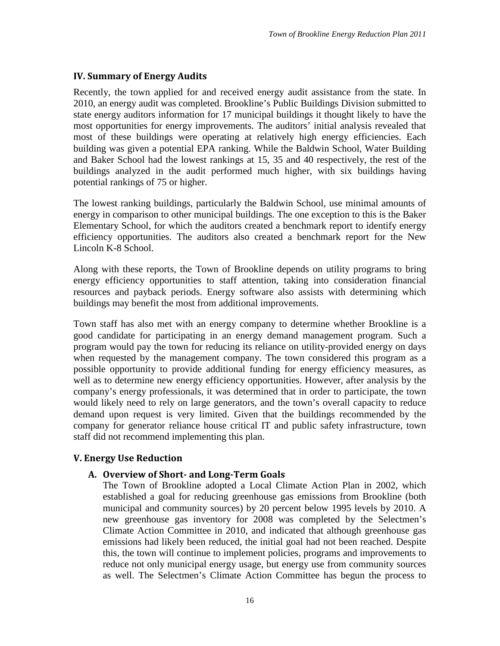# <span id="page-18-0"></span>**IV. Summary of Energy Audits**

Recently, the town applied for and received energy audit assistance from the state. In 2010, an energy audit was completed. Brookline's Public Buildings Division submitted to state energy auditors information for 17 municipal buildings it thought likely to have the most opportunities for energy improvements. The auditors' initial analysis revealed that most of these buildings were operating at relatively high energy efficiencies. Each building was given a potential EPA ranking. While the Baldwin School, Water Building and Baker School had the lowest rankings at 15, 35 and 40 respectively, the rest of the buildings analyzed in the audit performed much higher, with six buildings having potential rankings of 75 or higher.

The lowest ranking buildings, particularly the Baldwin School, use minimal amounts of energy in comparison to other municipal buildings. The one exception to this is the Baker Elementary School, for which the auditors created a benchmark report to identify energy efficiency opportunities. The auditors also created a benchmark report for the New Lincoln K-8 School.

Along with these reports, the Town of Brookline depends on utility programs to bring energy efficiency opportunities to staff attention, taking into consideration financial resources and payback periods. Energy software also assists with determining which buildings may benefit the most from additional improvements.

Town staff has also met with an energy company to determine whether Brookline is a good candidate for participating in an energy demand management program. Such a program would pay the town for reducing its reliance on utility-provided energy on days when requested by the management company. The town considered this program as a possible opportunity to provide additional funding for energy efficiency measures, as well as to determine new energy efficiency opportunities. However, after analysis by the company's energy professionals, it was determined that in order to participate, the town would likely need to rely on large generators, and the town's overall capacity to reduce demand upon request is very limited. Given that the buildings recommended by the company for generator reliance house critical IT and public safety infrastructure, town staff did not recommend implementing this plan.

# <span id="page-18-1"></span>**V. Energy Use Reduction**

# <span id="page-18-2"></span>**A. Overview of Short- and Long-Term Goals**

The Town of Brookline adopted a Local Climate Action Plan in 2002, which established a goal for reducing greenhouse gas emissions from Brookline (both municipal and community sources) by 20 percent below 1995 levels by 2010. A new greenhouse gas inventory for 2008 was completed by the Selectmen's Climate Action Committee in 2010, and indicated that although greenhouse gas emissions had likely been reduced, the initial goal had not been reached. Despite this, the town will continue to implement policies, programs and improvements to reduce not only municipal energy usage, but energy use from community sources as well. The Selectmen's Climate Action Committee has begun the process to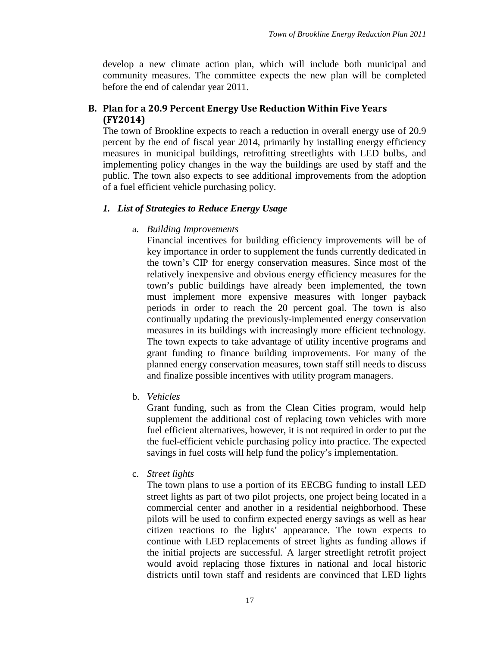develop a new climate action plan, which will include both municipal and community measures. The committee expects the new plan will be completed before the end of calendar year 2011.

# <span id="page-19-0"></span>**B. Plan for a 20.9 Percent Energy Use Reduction Within Five Years (FY2014)**

The town of Brookline expects to reach a reduction in overall energy use of 20.9 percent by the end of fiscal year 2014, primarily by installing energy efficiency measures in municipal buildings, retrofitting streetlights with LED bulbs, and implementing policy changes in the way the buildings are used by staff and the public. The town also expects to see additional improvements from the adoption of a fuel efficient vehicle purchasing policy.

#### <span id="page-19-1"></span>*1. List of Strategies to Reduce Energy Usage*

#### a. *Building Improvements*

Financial incentives for building efficiency improvements will be of key importance in order to supplement the funds currently dedicated in the town's CIP for energy conservation measures. Since most of the relatively inexpensive and obvious energy efficiency measures for the town's public buildings have already been implemented, the town must implement more expensive measures with longer payback periods in order to reach the 20 percent goal. The town is also continually updating the previously-implemented energy conservation measures in its buildings with increasingly more efficient technology. The town expects to take advantage of utility incentive programs and grant funding to finance building improvements. For many of the planned energy conservation measures, town staff still needs to discuss and finalize possible incentives with utility program managers.

b. *Vehicles*

Grant funding, such as from the Clean Cities program, would help supplement the additional cost of replacing town vehicles with more fuel efficient alternatives, however, it is not required in order to put the the fuel-efficient vehicle purchasing policy into practice. The expected savings in fuel costs will help fund the policy's implementation.

c. *Street lights*

The town plans to use a portion of its EECBG funding to install LED street lights as part of two pilot projects, one project being located in a commercial center and another in a residential neighborhood. These pilots will be used to confirm expected energy savings as well as hear citizen reactions to the lights' appearance. The town expects to continue with LED replacements of street lights as funding allows if the initial projects are successful. A larger streetlight retrofit project would avoid replacing those fixtures in national and local historic districts until town staff and residents are convinced that LED lights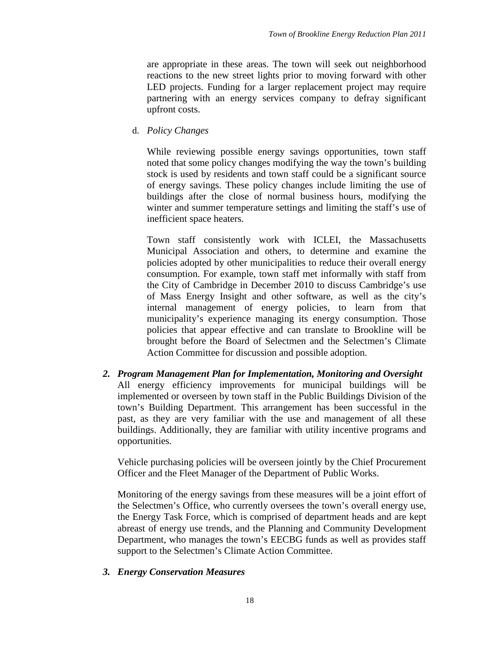are appropriate in these areas. The town will seek out neighborhood reactions to the new street lights prior to moving forward with other LED projects. Funding for a larger replacement project may require partnering with an energy services company to defray significant upfront costs.

d. *Policy Changes*

While reviewing possible energy savings opportunities, town staff noted that some policy changes modifying the way the town's building stock is used by residents and town staff could be a significant source of energy savings. These policy changes include limiting the use of buildings after the close of normal business hours, modifying the winter and summer temperature settings and limiting the staff's use of inefficient space heaters.

Town staff consistently work with ICLEI, the Massachusetts Municipal Association and others, to determine and examine the policies adopted by other municipalities to reduce their overall energy consumption. For example, town staff met informally with staff from the City of Cambridge in December 2010 to discuss Cambridge's use of Mass Energy Insight and other software, as well as the city's internal management of energy policies, to learn from that municipality's experience managing its energy consumption. Those policies that appear effective and can translate to Brookline will be brought before the Board of Selectmen and the Selectmen's Climate Action Committee for discussion and possible adoption.

<span id="page-20-0"></span>*2. Program Management Plan for Implementation, Monitoring and Oversight* All energy efficiency improvements for municipal buildings will be implemented or overseen by town staff in the Public Buildings Division of the town's Building Department. This arrangement has been successful in the past, as they are very familiar with the use and management of all these buildings. Additionally, they are familiar with utility incentive programs and opportunities.

Vehicle purchasing policies will be overseen jointly by the Chief Procurement Officer and the Fleet Manager of the Department of Public Works.

Monitoring of the energy savings from these measures will be a joint effort of the Selectmen's Office, who currently oversees the town's overall energy use, the Energy Task Force, which is comprised of department heads and are kept abreast of energy use trends, and the Planning and Community Development Department, who manages the town's EECBG funds as well as provides staff support to the Selectmen's Climate Action Committee.

#### <span id="page-20-1"></span>*3. Energy Conservation Measures*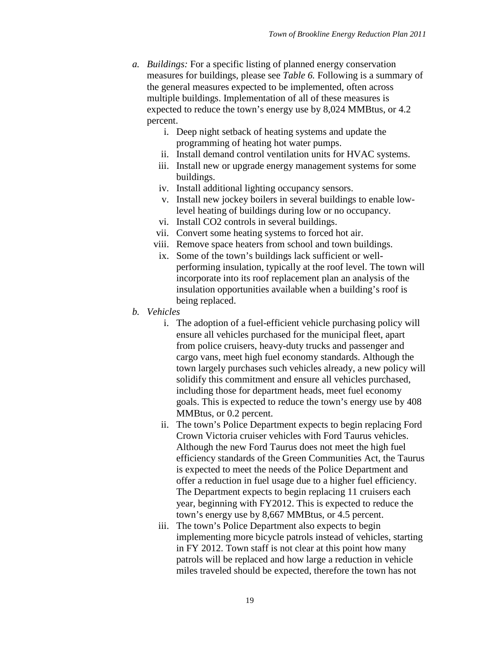- *a. Buildings:* For a specific listing of planned energy conservation measures for buildings, please see *Table 6.* Following is a summary of the general measures expected to be implemented, often across multiple buildings. Implementation of all of these measures is expected to reduce the town's energy use by 8,024 MMBtus, or 4.2 percent.
	- i. Deep night setback of heating systems and update the programming of heating hot water pumps.
	- ii. Install demand control ventilation units for HVAC systems.
	- iii. Install new or upgrade energy management systems for some buildings.
	- iv. Install additional lighting occupancy sensors.
	- v. Install new jockey boilers in several buildings to enable lowlevel heating of buildings during low or no occupancy.
	- vi. Install CO2 controls in several buildings.
	- vii. Convert some heating systems to forced hot air.
	- viii. Remove space heaters from school and town buildings.
	- ix. Some of the town's buildings lack sufficient or wellperforming insulation, typically at the roof level. The town will incorporate into its roof replacement plan an analysis of the insulation opportunities available when a building's roof is being replaced.
- *b. Vehicles*
	- i. The adoption of a fuel-efficient vehicle purchasing policy will ensure all vehicles purchased for the municipal fleet, apart from police cruisers, heavy-duty trucks and passenger and cargo vans, meet high fuel economy standards. Although the town largely purchases such vehicles already, a new policy will solidify this commitment and ensure all vehicles purchased, including those for department heads, meet fuel economy goals. This is expected to reduce the town's energy use by 408 MMBtus, or 0.2 percent.
	- ii. The town's Police Department expects to begin replacing Ford Crown Victoria cruiser vehicles with Ford Taurus vehicles. Although the new Ford Taurus does not meet the high fuel efficiency standards of the Green Communities Act, the Taurus is expected to meet the needs of the Police Department and offer a reduction in fuel usage due to a higher fuel efficiency. The Department expects to begin replacing 11 cruisers each year, beginning with FY2012. This is expected to reduce the town's energy use by 8,667 MMBtus, or 4.5 percent.
	- iii. The town's Police Department also expects to begin implementing more bicycle patrols instead of vehicles, starting in FY 2012. Town staff is not clear at this point how many patrols will be replaced and how large a reduction in vehicle miles traveled should be expected, therefore the town has not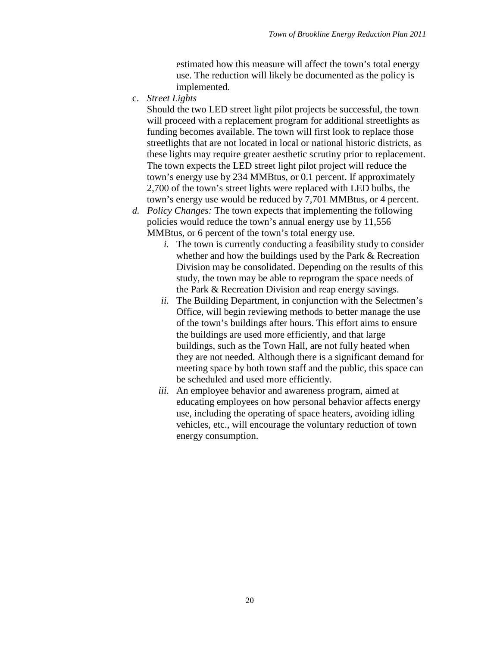estimated how this measure will affect the town's total energy use. The reduction will likely be documented as the policy is implemented.

c. *Street Lights*

Should the two LED street light pilot projects be successful, the town will proceed with a replacement program for additional streetlights as funding becomes available. The town will first look to replace those streetlights that are not located in local or national historic districts, as these lights may require greater aesthetic scrutiny prior to replacement. The town expects the LED street light pilot project will reduce the town's energy use by 234 MMBtus, or 0.1 percent. If approximately 2,700 of the town's street lights were replaced with LED bulbs, the town's energy use would be reduced by 7,701 MMBtus, or 4 percent.

- *d. Policy Changes:* The town expects that implementing the following policies would reduce the town's annual energy use by 11,556 MMBtus, or 6 percent of the town's total energy use.
	- *i.* The town is currently conducting a feasibility study to consider whether and how the buildings used by the Park & Recreation Division may be consolidated. Depending on the results of this study, the town may be able to reprogram the space needs of the Park & Recreation Division and reap energy savings.
	- *ii.* The Building Department, in conjunction with the Selectmen's Office, will begin reviewing methods to better manage the use of the town's buildings after hours. This effort aims to ensure the buildings are used more efficiently, and that large buildings, such as the Town Hall, are not fully heated when they are not needed. Although there is a significant demand for meeting space by both town staff and the public, this space can be scheduled and used more efficiently.
	- *iii.* An employee behavior and awareness program, aimed at educating employees on how personal behavior affects energy use, including the operating of space heaters, avoiding idling vehicles, etc., will encourage the voluntary reduction of town energy consumption.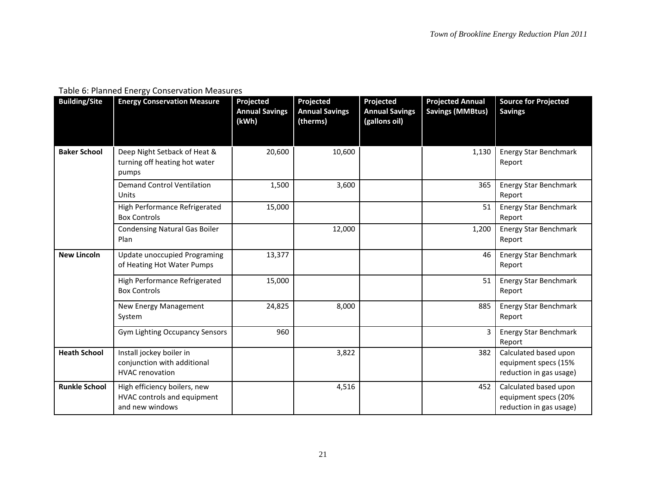# Table 6: Planned Energy Conservation Measures

| <b>Building/Site</b> | <b>Energy Conservation Measure</b>                                                | Projected<br><b>Annual Savings</b><br>(kWh) | Projected<br><b>Annual Savings</b><br>(therms) | Projected<br><b>Annual Savings</b><br>(gallons oil) | <b>Projected Annual</b><br><b>Savings (MMBtus)</b> | <b>Source for Projected</b><br><b>Savings</b>                            |
|----------------------|-----------------------------------------------------------------------------------|---------------------------------------------|------------------------------------------------|-----------------------------------------------------|----------------------------------------------------|--------------------------------------------------------------------------|
|                      |                                                                                   |                                             |                                                |                                                     |                                                    |                                                                          |
| <b>Baker School</b>  | Deep Night Setback of Heat &<br>turning off heating hot water<br>pumps            | 20,600                                      | 10,600                                         |                                                     | 1,130                                              | <b>Energy Star Benchmark</b><br>Report                                   |
|                      | <b>Demand Control Ventilation</b><br>Units                                        | 1,500                                       | 3,600                                          |                                                     | 365                                                | <b>Energy Star Benchmark</b><br>Report                                   |
|                      | High Performance Refrigerated<br><b>Box Controls</b>                              | 15,000                                      |                                                |                                                     | 51                                                 | <b>Energy Star Benchmark</b><br>Report                                   |
|                      | <b>Condensing Natural Gas Boiler</b><br>Plan                                      |                                             | 12,000                                         |                                                     | 1,200                                              | <b>Energy Star Benchmark</b><br>Report                                   |
| <b>New Lincoln</b>   | Update unoccupied Programing<br>of Heating Hot Water Pumps                        | 13,377                                      |                                                |                                                     | 46                                                 | <b>Energy Star Benchmark</b><br>Report                                   |
|                      | High Performance Refrigerated<br><b>Box Controls</b>                              | 15,000                                      |                                                |                                                     | 51                                                 | <b>Energy Star Benchmark</b><br>Report                                   |
|                      | New Energy Management<br>System                                                   | 24,825                                      | 8,000                                          |                                                     | 885                                                | <b>Energy Star Benchmark</b><br>Report                                   |
|                      | <b>Gym Lighting Occupancy Sensors</b>                                             | 960                                         |                                                |                                                     | 3                                                  | <b>Energy Star Benchmark</b><br>Report                                   |
| <b>Heath School</b>  | Install jockey boiler in<br>conjunction with additional<br><b>HVAC</b> renovation |                                             | 3,822                                          |                                                     | 382                                                | Calculated based upon<br>equipment specs (15%<br>reduction in gas usage) |
| <b>Runkle School</b> | High efficiency boilers, new<br>HVAC controls and equipment<br>and new windows    |                                             | 4,516                                          |                                                     | 452                                                | Calculated based upon<br>equipment specs (20%<br>reduction in gas usage) |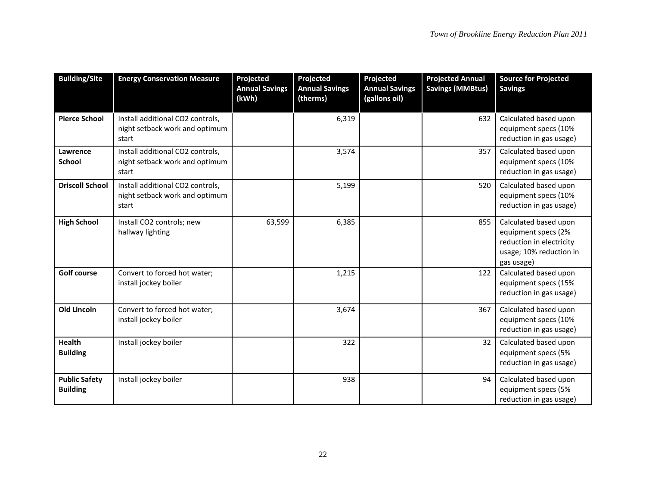| <b>Building/Site</b>                    | <b>Energy Conservation Measure</b>                                          | Projected<br><b>Annual Savings</b><br>(kWh) | Projected<br><b>Annual Savings</b><br>(therms) | Projected<br><b>Annual Savings</b><br>(gallons oil) | <b>Projected Annual</b><br><b>Savings (MMBtus)</b> | <b>Source for Projected</b><br><b>Savings</b>                                                                     |
|-----------------------------------------|-----------------------------------------------------------------------------|---------------------------------------------|------------------------------------------------|-----------------------------------------------------|----------------------------------------------------|-------------------------------------------------------------------------------------------------------------------|
| <b>Pierce School</b>                    | Install additional CO2 controls,<br>night setback work and optimum<br>start |                                             | 6,319                                          |                                                     | 632                                                | Calculated based upon<br>equipment specs (10%<br>reduction in gas usage)                                          |
| Lawrence<br><b>School</b>               | Install additional CO2 controls,<br>night setback work and optimum<br>start |                                             | 3,574                                          |                                                     | 357                                                | Calculated based upon<br>equipment specs (10%<br>reduction in gas usage)                                          |
| <b>Driscoll School</b>                  | Install additional CO2 controls,<br>night setback work and optimum<br>start |                                             | 5,199                                          |                                                     | 520                                                | Calculated based upon<br>equipment specs (10%<br>reduction in gas usage)                                          |
| <b>High School</b>                      | Install CO2 controls; new<br>hallway lighting                               | 63,599                                      | 6,385                                          |                                                     | 855                                                | Calculated based upon<br>equipment specs (2%<br>reduction in electricity<br>usage; 10% reduction in<br>gas usage) |
| <b>Golf course</b>                      | Convert to forced hot water;<br>install jockey boiler                       |                                             | 1,215                                          |                                                     | 122                                                | Calculated based upon<br>equipment specs (15%<br>reduction in gas usage)                                          |
| <b>Old Lincoln</b>                      | Convert to forced hot water;<br>install jockey boiler                       |                                             | 3,674                                          |                                                     | 367                                                | Calculated based upon<br>equipment specs (10%<br>reduction in gas usage)                                          |
| <b>Health</b><br><b>Building</b>        | Install jockey boiler                                                       |                                             | 322                                            |                                                     | 32                                                 | Calculated based upon<br>equipment specs (5%<br>reduction in gas usage)                                           |
| <b>Public Safety</b><br><b>Building</b> | Install jockey boiler                                                       |                                             | 938                                            |                                                     | 94                                                 | Calculated based upon<br>equipment specs (5%<br>reduction in gas usage)                                           |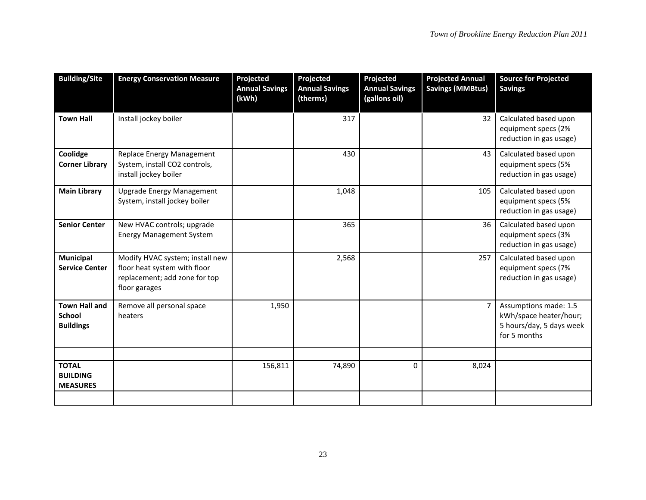| <b>Building/Site</b>                                      | <b>Energy Conservation Measure</b>                                                                                | Projected<br><b>Annual Savings</b><br>(kWh) | Projected<br><b>Annual Savings</b><br>(therms) | Projected<br><b>Annual Savings</b><br>(gallons oil) | <b>Projected Annual</b><br><b>Savings (MMBtus)</b> | <b>Source for Projected</b><br><b>Savings</b>                                               |
|-----------------------------------------------------------|-------------------------------------------------------------------------------------------------------------------|---------------------------------------------|------------------------------------------------|-----------------------------------------------------|----------------------------------------------------|---------------------------------------------------------------------------------------------|
| <b>Town Hall</b>                                          | Install jockey boiler                                                                                             |                                             | 317                                            |                                                     | 32                                                 | Calculated based upon<br>equipment specs (2%<br>reduction in gas usage)                     |
| Coolidge<br><b>Corner Library</b>                         | Replace Energy Management<br>System, install CO2 controls,<br>install jockey boiler                               |                                             | 430                                            |                                                     | 43                                                 | Calculated based upon<br>equipment specs (5%<br>reduction in gas usage)                     |
| <b>Main Library</b>                                       | <b>Upgrade Energy Management</b><br>System, install jockey boiler                                                 |                                             | 1,048                                          |                                                     | 105                                                | Calculated based upon<br>equipment specs (5%<br>reduction in gas usage)                     |
| <b>Senior Center</b>                                      | New HVAC controls; upgrade<br><b>Energy Management System</b>                                                     |                                             | 365                                            |                                                     | 36                                                 | Calculated based upon<br>equipment specs (3%<br>reduction in gas usage)                     |
| Municipal<br><b>Service Center</b>                        | Modify HVAC system; install new<br>floor heat system with floor<br>replacement; add zone for top<br>floor garages |                                             | 2,568                                          |                                                     | 257                                                | Calculated based upon<br>equipment specs (7%<br>reduction in gas usage)                     |
| <b>Town Hall and</b><br><b>School</b><br><b>Buildings</b> | Remove all personal space<br>heaters                                                                              | 1,950                                       |                                                |                                                     | 7                                                  | Assumptions made: 1.5<br>kWh/space heater/hour;<br>5 hours/day, 5 days week<br>for 5 months |
|                                                           |                                                                                                                   |                                             |                                                |                                                     |                                                    |                                                                                             |
| <b>TOTAL</b><br><b>BUILDING</b><br><b>MEASURES</b>        |                                                                                                                   | 156,811                                     | 74,890                                         | 0                                                   | 8,024                                              |                                                                                             |
|                                                           |                                                                                                                   |                                             |                                                |                                                     |                                                    |                                                                                             |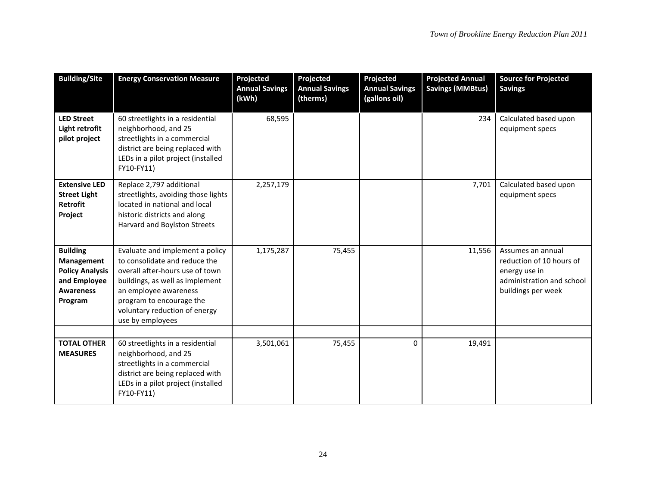| <b>Building/Site</b>                                                                                   | <b>Energy Conservation Measure</b>                                                                                                                                                                                                               | Projected<br><b>Annual Savings</b><br>(kWh) | Projected<br><b>Annual Savings</b><br>(therms) | Projected<br><b>Annual Savings</b><br>(gallons oil) | <b>Projected Annual</b><br><b>Savings (MMBtus)</b> | <b>Source for Projected</b><br><b>Savings</b>                                                                     |
|--------------------------------------------------------------------------------------------------------|--------------------------------------------------------------------------------------------------------------------------------------------------------------------------------------------------------------------------------------------------|---------------------------------------------|------------------------------------------------|-----------------------------------------------------|----------------------------------------------------|-------------------------------------------------------------------------------------------------------------------|
| <b>LED Street</b><br>Light retrofit<br>pilot project                                                   | 60 streetlights in a residential<br>neighborhood, and 25<br>streetlights in a commercial<br>district are being replaced with<br>LEDs in a pilot project (installed<br>FY10-FY11)                                                                 | 68,595                                      |                                                |                                                     | 234                                                | Calculated based upon<br>equipment specs                                                                          |
| <b>Extensive LED</b><br><b>Street Light</b><br><b>Retrofit</b><br>Project                              | Replace 2,797 additional<br>streetlights, avoiding those lights<br>located in national and local<br>historic districts and along<br>Harvard and Boylston Streets                                                                                 | 2,257,179                                   |                                                |                                                     | 7,701                                              | Calculated based upon<br>equipment specs                                                                          |
| <b>Building</b><br>Management<br><b>Policy Analysis</b><br>and Employee<br><b>Awareness</b><br>Program | Evaluate and implement a policy<br>to consolidate and reduce the<br>overall after-hours use of town<br>buildings, as well as implement<br>an employee awareness<br>program to encourage the<br>voluntary reduction of energy<br>use by employees | 1,175,287                                   | 75,455                                         |                                                     | 11,556                                             | Assumes an annual<br>reduction of 10 hours of<br>energy use in<br>administration and school<br>buildings per week |
| <b>TOTAL OTHER</b>                                                                                     | 60 streetlights in a residential                                                                                                                                                                                                                 | 3,501,061                                   | 75,455                                         | $\mathbf 0$                                         | 19,491                                             |                                                                                                                   |
| <b>MEASURES</b>                                                                                        | neighborhood, and 25<br>streetlights in a commercial<br>district are being replaced with<br>LEDs in a pilot project (installed<br>FY10-FY11)                                                                                                     |                                             |                                                |                                                     |                                                    |                                                                                                                   |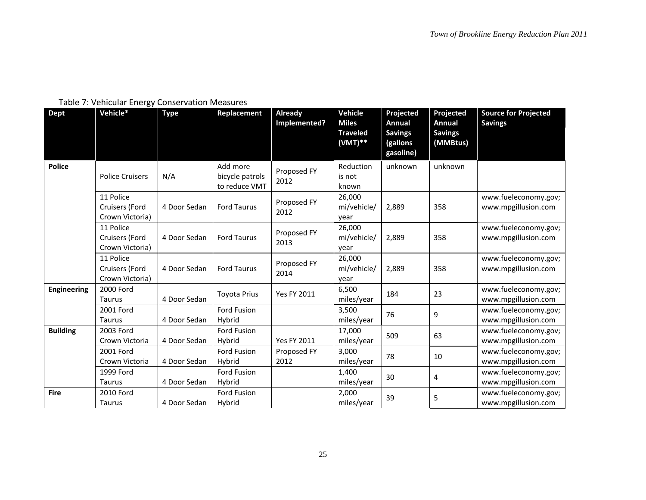# Table 7: Vehicular Energy Conservation Measures

| <b>Dept</b>        | Vehicle*                                       | <b>Type</b>  | Replacement                                  | Already<br>Implemented? | <b>Vehicle</b><br><b>Miles</b><br><b>Traveled</b><br>$(VMT)**$ | Projected<br><b>Annual</b><br><b>Savings</b><br>(gallons<br>gasoline) | Projected<br>Annual<br><b>Savings</b><br>(MMBtus) | <b>Source for Projected</b><br><b>Savings</b> |
|--------------------|------------------------------------------------|--------------|----------------------------------------------|-------------------------|----------------------------------------------------------------|-----------------------------------------------------------------------|---------------------------------------------------|-----------------------------------------------|
| <b>Police</b>      | <b>Police Cruisers</b>                         | N/A          | Add more<br>bicycle patrols<br>to reduce VMT | Proposed FY<br>2012     | Reduction<br>is not<br>known                                   | unknown                                                               | unknown                                           |                                               |
|                    | 11 Police<br>Cruisers (Ford<br>Crown Victoria) | 4 Door Sedan | <b>Ford Taurus</b>                           | Proposed FY<br>2012     | 26.000<br>mi/vehicle/<br>year                                  | 2,889                                                                 | 358                                               | www.fueleconomy.gov;<br>www.mpgillusion.com   |
|                    | 11 Police<br>Cruisers (Ford<br>Crown Victoria) | 4 Door Sedan | <b>Ford Taurus</b>                           | Proposed FY<br>2013     | 26,000<br>mi/vehicle/<br>year                                  | 2,889                                                                 | 358                                               | www.fueleconomy.gov;<br>www.mpgillusion.com   |
|                    | 11 Police<br>Cruisers (Ford<br>Crown Victoria) | 4 Door Sedan | <b>Ford Taurus</b>                           | Proposed FY<br>2014     | 26,000<br>mi/vehicle/<br>year                                  | 2,889                                                                 | 358                                               | www.fueleconomy.gov;<br>www.mpgillusion.com   |
| <b>Engineering</b> | 2000 Ford<br>Taurus                            | 4 Door Sedan | <b>Toyota Prius</b>                          | <b>Yes FY 2011</b>      | 6,500<br>miles/year                                            | 184                                                                   | 23                                                | www.fueleconomy.gov;<br>www.mpgillusion.com   |
|                    | 2001 Ford<br><b>Taurus</b>                     | 4 Door Sedan | Ford Fusion<br>Hybrid                        |                         | 3,500<br>miles/year                                            | 76                                                                    | 9                                                 | www.fueleconomy.gov;<br>www.mpgillusion.com   |
| <b>Building</b>    | 2003 Ford<br>Crown Victoria                    | 4 Door Sedan | Ford Fusion<br>Hybrid                        | <b>Yes FY 2011</b>      | 17,000<br>miles/year                                           | 509                                                                   | 63                                                | www.fueleconomy.gov;<br>www.mpgillusion.com   |
|                    | 2001 Ford<br>Crown Victoria                    | 4 Door Sedan | Ford Fusion<br>Hybrid                        | Proposed FY<br>2012     | 3,000<br>miles/year                                            | 78                                                                    | 10                                                | www.fueleconomy.gov;<br>www.mpgillusion.com   |
|                    | 1999 Ford<br><b>Taurus</b>                     | 4 Door Sedan | <b>Ford Fusion</b><br>Hybrid                 |                         | 1,400<br>miles/year                                            | 30                                                                    | 4                                                 | www.fueleconomy.gov;<br>www.mpgillusion.com   |
| <b>Fire</b>        | 2010 Ford<br>Taurus                            | 4 Door Sedan | Ford Fusion<br>Hybrid                        |                         | 2,000<br>miles/year                                            | 39                                                                    | 5                                                 | www.fueleconomy.gov;<br>www.mpgillusion.com   |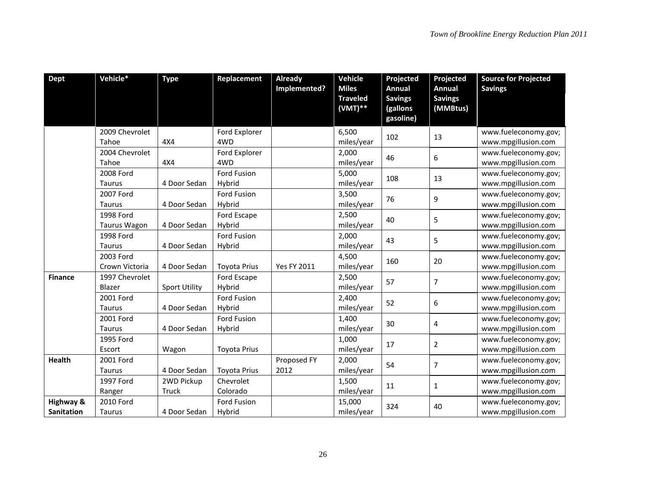| <b>Dept</b>       | Vehicle*                | <b>Type</b>          | Replacement          | <b>Already</b>     | Vehicle                      | Projected             | Projected      | <b>Source for Projected</b>                 |
|-------------------|-------------------------|----------------------|----------------------|--------------------|------------------------------|-----------------------|----------------|---------------------------------------------|
|                   |                         |                      |                      | Implemented?       | <b>Miles</b>                 | <b>Annual</b>         | Annual         | <b>Savings</b>                              |
|                   |                         |                      |                      |                    | <b>Traveled</b><br>$(VMT)**$ | <b>Savings</b>        | <b>Savings</b> |                                             |
|                   |                         |                      |                      |                    |                              | (gallons<br>gasoline) | (MMBtus)       |                                             |
|                   |                         |                      |                      |                    |                              |                       |                |                                             |
|                   | 2009 Chevrolet          |                      | Ford Explorer        |                    | 6,500                        | 102                   | 13             | www.fueleconomy.gov;                        |
|                   | Tahoe                   | 4X4                  | 4WD                  |                    | miles/year                   |                       |                | www.mpgillusion.com                         |
|                   | 2004 Chevrolet<br>Tahoe | 4X4                  | Ford Explorer<br>4WD |                    | 2,000<br>miles/year          | 46                    | 6              | www.fueleconomy.gov;<br>www.mpgillusion.com |
|                   | 2008 Ford               |                      | Ford Fusion          |                    | 5,000                        |                       |                | www.fueleconomy.gov;                        |
|                   | Taurus                  | 4 Door Sedan         | Hybrid               |                    |                              | 108                   | 13             | www.mpgillusion.com                         |
|                   | 2007 Ford               |                      | Ford Fusion          |                    | miles/year<br>3,500          |                       |                | www.fueleconomy.gov;                        |
|                   | Taurus                  | 4 Door Sedan         | Hybrid               |                    | miles/year                   | 76                    | 9              | www.mpgillusion.com                         |
|                   | 1998 Ford               |                      | Ford Escape          |                    | 2,500                        |                       |                | www.fueleconomy.gov;                        |
|                   | Taurus Wagon            | 4 Door Sedan         | Hybrid               |                    | miles/year                   | 40                    | 5              | www.mpgillusion.com                         |
|                   | 1998 Ford               |                      | Ford Fusion          |                    | 2,000                        |                       |                | www.fueleconomy.gov;                        |
|                   | Taurus                  | 4 Door Sedan         | Hybrid               |                    | miles/year                   | 43                    | 5              | www.mpgillusion.com                         |
|                   | 2003 Ford               |                      |                      |                    | 4,500                        |                       |                | www.fueleconomy.gov;                        |
|                   | Crown Victoria          | 4 Door Sedan         | <b>Toyota Prius</b>  | <b>Yes FY 2011</b> | miles/year                   | 160                   | 20             | www.mpgillusion.com                         |
| <b>Finance</b>    | 1997 Chevrolet          |                      | Ford Escape          |                    | 2,500                        |                       |                | www.fueleconomy.gov;                        |
|                   | Blazer                  | <b>Sport Utility</b> | Hybrid               |                    | miles/year                   | 57                    | 7              | www.mpgillusion.com                         |
|                   | 2001 Ford               |                      | Ford Fusion          |                    | 2,400                        |                       |                | www.fueleconomy.gov;                        |
|                   | Taurus                  | 4 Door Sedan         | Hybrid               |                    | miles/year                   | 52                    | 6              | www.mpgillusion.com                         |
|                   | 2001 Ford               |                      | Ford Fusion          |                    | 1,400                        |                       |                | www.fueleconomy.gov;                        |
|                   | Taurus                  | 4 Door Sedan         | Hybrid               |                    | miles/year                   | 30                    | 4              | www.mpgillusion.com                         |
|                   | 1995 Ford               |                      |                      |                    | 1,000                        |                       |                | www.fueleconomy.gov;                        |
|                   | Escort                  | Wagon                | <b>Toyota Prius</b>  |                    | miles/year                   | 17                    | 2              | www.mpgillusion.com                         |
| <b>Health</b>     | 2001 Ford               |                      |                      | Proposed FY        | 2,000                        |                       |                | www.fueleconomy.gov;                        |
|                   | Taurus                  | 4 Door Sedan         | <b>Toyota Prius</b>  | 2012               | miles/year                   | 54                    | 7              | www.mpgillusion.com                         |
|                   | 1997 Ford               | 2WD Pickup           | Chevrolet            |                    | 1,500                        |                       |                | www.fueleconomy.gov;                        |
|                   | Ranger                  | Truck                | Colorado             |                    | miles/year                   | 11                    | 1              | www.mpgillusion.com                         |
| Highway &         | 2010 Ford               |                      | Ford Fusion          |                    | 15,000                       | 324                   |                | www.fueleconomy.gov;                        |
| <b>Sanitation</b> | Taurus                  | 4 Door Sedan         | Hybrid               |                    | miles/year                   |                       | 40             | www.mpgillusion.com                         |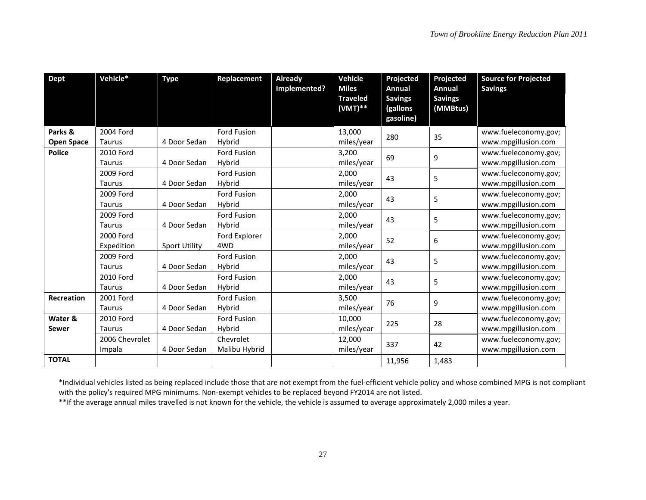| <b>Dept</b>       | Vehicle*       | <b>Type</b>          | Replacement        | Already<br>Implemented? | <b>Vehicle</b><br><b>Miles</b><br><b>Traveled</b> | Projected<br>Annual<br><b>Savings</b> | Projected<br><b>Annual</b><br><b>Savings</b> | <b>Source for Projected</b><br><b>Savings</b> |
|-------------------|----------------|----------------------|--------------------|-------------------------|---------------------------------------------------|---------------------------------------|----------------------------------------------|-----------------------------------------------|
|                   |                |                      |                    |                         | $(VMT)**$                                         | (gallons<br>gasoline)                 | (MMBtus)                                     |                                               |
| Parks &           | 2004 Ford      |                      | Ford Fusion        |                         | 13,000                                            | 280                                   | 35                                           | www.fueleconomy.gov;                          |
| <b>Open Space</b> | Taurus         | 4 Door Sedan         | Hybrid             |                         | miles/year                                        |                                       |                                              | www.mpgillusion.com                           |
| <b>Police</b>     | 2010 Ford      |                      | Ford Fusion        |                         | 3,200                                             | 69                                    | 9                                            | www.fueleconomy.gov;                          |
|                   | <b>Taurus</b>  | 4 Door Sedan         | Hybrid             |                         | miles/year                                        |                                       |                                              | www.mpgillusion.com                           |
|                   | 2009 Ford      |                      | Ford Fusion        |                         | 2,000                                             | 43                                    | 5                                            | www.fueleconomy.gov;                          |
|                   | <b>Taurus</b>  | 4 Door Sedan         | Hybrid             |                         | miles/year                                        |                                       |                                              | www.mpgillusion.com                           |
|                   | 2009 Ford      |                      | Ford Fusion        |                         | 2,000                                             | 43                                    | 5                                            | www.fueleconomy.gov;                          |
|                   | <b>Taurus</b>  | 4 Door Sedan         | Hybrid             |                         | miles/year                                        |                                       |                                              | www.mpgillusion.com                           |
|                   | 2009 Ford      |                      | Ford Fusion        |                         | 2,000                                             | 43                                    | 5                                            | www.fueleconomy.gov;                          |
|                   | <b>Taurus</b>  | 4 Door Sedan         | Hybrid             |                         | miles/year                                        |                                       |                                              | www.mpgillusion.com                           |
|                   | 2000 Ford      |                      | Ford Explorer      |                         | 2,000                                             | 52                                    | 6                                            | www.fueleconomy.gov;                          |
|                   | Expedition     | <b>Sport Utility</b> | 4WD                |                         | miles/year                                        |                                       |                                              | www.mpgillusion.com                           |
|                   | 2009 Ford      |                      | <b>Ford Fusion</b> |                         | 2,000                                             | 43                                    | 5                                            | www.fueleconomy.gov;                          |
|                   | <b>Taurus</b>  | 4 Door Sedan         | Hybrid             |                         | miles/year                                        |                                       |                                              | www.mpgillusion.com                           |
|                   | 2010 Ford      |                      | Ford Fusion        |                         | 2,000                                             | 43                                    | 5                                            | www.fueleconomy.gov;                          |
|                   | Taurus         | 4 Door Sedan         | Hybrid             |                         | miles/year                                        |                                       |                                              | www.mpgillusion.com                           |
| Recreation        | 2001 Ford      |                      | Ford Fusion        |                         | 3,500                                             | 76                                    | 9                                            | www.fueleconomy.gov;                          |
|                   | Taurus         | 4 Door Sedan         | Hybrid             |                         | miles/year                                        |                                       |                                              | www.mpgillusion.com                           |
| Water &           | 2010 Ford      |                      | <b>Ford Fusion</b> |                         | 10,000                                            | 225                                   | 28                                           | www.fueleconomy.gov;                          |
| Sewer             | Taurus         | 4 Door Sedan         | Hybrid             |                         | miles/year                                        |                                       |                                              | www.mpgillusion.com                           |
|                   | 2006 Chevrolet |                      | Chevrolet          |                         | 12,000                                            | 337                                   | 42                                           | www.fueleconomy.gov;                          |
|                   | Impala         | 4 Door Sedan         | Malibu Hybrid      |                         | miles/year                                        |                                       |                                              | www.mpgillusion.com                           |
| <b>TOTAL</b>      |                |                      |                    |                         |                                                   | 11,956                                | 1,483                                        |                                               |

\*Individual vehicles listed as being replaced include those that are not exempt from the fuel-efficient vehicle policy and whose combined MPG is not compliant with the policy's required MPG minimums. Non-exempt vehicles to be replaced beyond FY2014 are not listed.

\*\*If the average annual miles travelled is not known for the vehicle, the vehicle is assumed to average approximately 2,000 miles a year.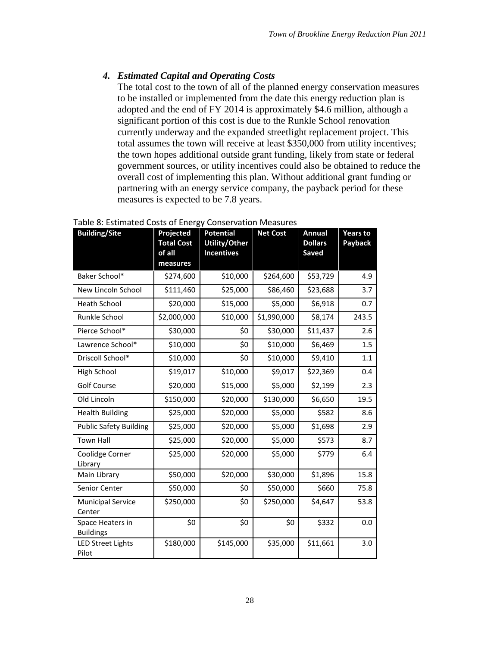### <span id="page-30-0"></span>*4. Estimated Capital and Operating Costs*

The total cost to the town of all of the planned energy conservation measures to be installed or implemented from the date this energy reduction plan is adopted and the end of FY 2014 is approximately \$4.6 million, although a significant portion of this cost is due to the Runkle School renovation currently underway and the expanded streetlight replacement project. This total assumes the town will receive at least \$350,000 from utility incentives; the town hopes additional outside grant funding, likely from state or federal government sources, or utility incentives could also be obtained to reduce the overall cost of implementing this plan. Without additional grant funding or partnering with an energy service company, the payback period for these measures is expected to be 7.8 years.

| <b>Building/Site</b>                 | Projected<br><b>Total Cost</b><br>of all<br>measures | <b>Potential</b><br><b>Utility/Other</b><br><b>Incentives</b> | <b>Net Cost</b> | <b>Annual</b><br><b>Dollars</b><br>Saved | <b>Years to</b><br>Payback |
|--------------------------------------|------------------------------------------------------|---------------------------------------------------------------|-----------------|------------------------------------------|----------------------------|
| Baker School*                        | \$274,600                                            | \$10,000                                                      | \$264,600       | \$53,729                                 | 4.9                        |
| New Lincoln School                   | \$111,460                                            | \$25,000                                                      | \$86,460        | \$23,688                                 | 3.7                        |
| <b>Heath School</b>                  | \$20,000                                             | \$15,000                                                      | \$5,000         | \$6,918                                  | 0.7                        |
| Runkle School                        | \$2,000,000                                          | \$10,000                                                      | \$1,990,000     | \$8,174                                  | 243.5                      |
| Pierce School*                       | \$30,000                                             | \$0                                                           | \$30,000        | \$11,437                                 | 2.6                        |
| Lawrence School*                     | \$10,000                                             | \$0                                                           | \$10,000        | \$6,469                                  | 1.5                        |
| Driscoll School*                     | \$10,000                                             | \$0                                                           | \$10,000        | \$9,410                                  | 1.1                        |
| High School                          | \$19,017                                             | \$10,000                                                      | \$9,017         | \$22,369                                 | 0.4                        |
| <b>Golf Course</b>                   | \$20,000                                             | \$15,000                                                      | \$5,000         | \$2,199                                  | 2.3                        |
| Old Lincoln                          | \$150,000                                            | \$20,000                                                      | \$130,000       | \$6,650                                  | 19.5                       |
| <b>Health Building</b>               | \$25,000                                             | \$20,000                                                      | \$5,000         | \$582                                    | 8.6                        |
| <b>Public Safety Building</b>        | \$25,000                                             | \$20,000                                                      | \$5,000         | \$1,698                                  | 2.9                        |
| <b>Town Hall</b>                     | \$25,000                                             | \$20,000                                                      | \$5,000         | \$573                                    | 8.7                        |
| Coolidge Corner<br>Library           | \$25,000                                             | \$20,000                                                      | \$5,000         | \$779                                    | 6.4                        |
| Main Library                         | \$50,000                                             | \$20,000                                                      | \$30,000        | \$1,896                                  | 15.8                       |
| Senior Center                        | \$50,000                                             | \$0                                                           | \$50,000        | \$660                                    | 75.8                       |
| <b>Municipal Service</b><br>Center   | \$250,000                                            | \$0                                                           | \$250,000       | \$4,647                                  | 53.8                       |
| Space Heaters in<br><b>Buildings</b> | \$0                                                  | \$0                                                           | \$0             | \$332                                    | 0.0                        |
| <b>LED Street Lights</b><br>Pilot    | \$180,000                                            | \$145,000                                                     | \$35,000        | \$11,661                                 | 3.0                        |

#### Table 8: Estimated Costs of Energy Conservation Measures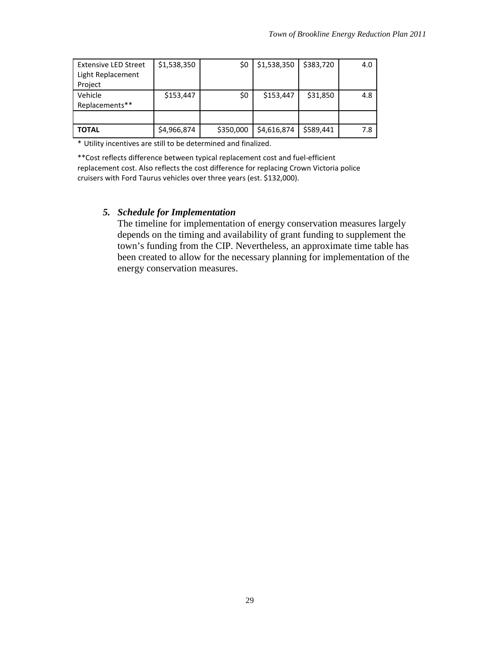| <b>Extensive LED Street</b> | \$1,538,350 | \$0       | \$1,538,350 | \$383,720 | 4.0 |
|-----------------------------|-------------|-----------|-------------|-----------|-----|
| Light Replacement           |             |           |             |           |     |
| Project                     |             |           |             |           |     |
| Vehicle                     | \$153,447   | \$0       | \$153,447   | \$31,850  | 4.8 |
| Replacements**              |             |           |             |           |     |
|                             |             |           |             |           |     |
| <b>TOTAL</b>                | \$4,966,874 | \$350,000 | \$4,616,874 | \$589,441 | 7.8 |

\* Utility incentives are still to be determined and finalized.

\*\*Cost reflects difference between typical replacement cost and fuel-efficient replacement cost. Also reflects the cost difference for replacing Crown Victoria police cruisers with Ford Taurus vehicles over three years (est. \$132,000).

#### <span id="page-31-0"></span>*5. Schedule for Implementation*

The timeline for implementation of energy conservation measures largely depends on the timing and availability of grant funding to supplement the town's funding from the CIP. Nevertheless, an approximate time table has been created to allow for the necessary planning for implementation of the energy conservation measures.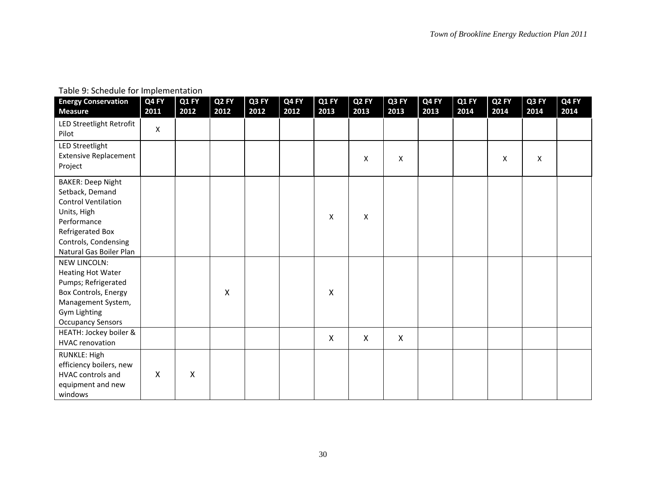| Table 9: Schedule for Implementation |  |
|--------------------------------------|--|
|--------------------------------------|--|

| <b>Energy Conservation</b><br><b>Measure</b>                                                                                                                                   | Q4 FY<br>2011             | Q1 FY<br>2012 | Q <sub>2</sub> FY<br>2012 | Q3 FY<br>2012 | Q4 FY<br>2012 | Q1 FY<br>2013             | Q <sub>2</sub> FY<br>2013 | Q3 FY<br>2013 | Q4 FY<br>2013 | Q1 FY<br>2014 | Q <sub>2</sub> FY<br>2014 | Q3 FY<br>2014 | Q4 FY<br>2014 |
|--------------------------------------------------------------------------------------------------------------------------------------------------------------------------------|---------------------------|---------------|---------------------------|---------------|---------------|---------------------------|---------------------------|---------------|---------------|---------------|---------------------------|---------------|---------------|
| LED Streetlight Retrofit<br>Pilot                                                                                                                                              | X                         |               |                           |               |               |                           |                           |               |               |               |                           |               |               |
| <b>LED Streetlight</b><br><b>Extensive Replacement</b><br>Project                                                                                                              |                           |               |                           |               |               |                           | $\pmb{\mathsf{X}}$        | X             |               |               | X                         | X             |               |
| <b>BAKER: Deep Night</b><br>Setback, Demand<br><b>Control Ventilation</b><br>Units, High<br>Performance<br>Refrigerated Box<br>Controls, Condensing<br>Natural Gas Boiler Plan |                           |               |                           |               |               | X                         | X                         |               |               |               |                           |               |               |
| <b>NEW LINCOLN:</b><br><b>Heating Hot Water</b><br>Pumps; Refrigerated<br>Box Controls, Energy<br>Management System,<br>Gym Lighting<br><b>Occupancy Sensors</b>               |                           |               | X                         |               |               | $\boldsymbol{\mathsf{X}}$ |                           |               |               |               |                           |               |               |
| HEATH: Jockey boiler &<br><b>HVAC</b> renovation                                                                                                                               |                           |               |                           |               |               | $\boldsymbol{\mathsf{X}}$ | X                         | $\mathsf{X}$  |               |               |                           |               |               |
| RUNKLE: High<br>efficiency boilers, new<br>HVAC controls and<br>equipment and new<br>windows                                                                                   | $\boldsymbol{\mathsf{X}}$ | Χ             |                           |               |               |                           |                           |               |               |               |                           |               |               |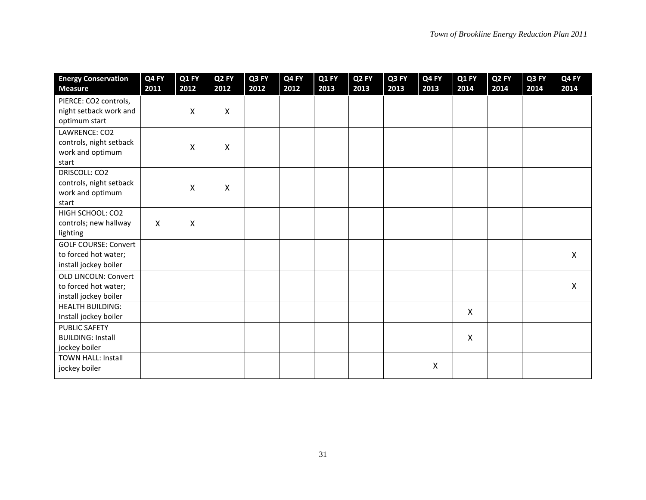| <b>Energy Conservation</b><br><b>Measure</b>                                 | Q4 FY<br>2011  | Q1 FY<br>2012 | Q <sub>2</sub> FY<br>2012 | Q3 FY<br>2012 | Q4 FY<br>2012 | Q1 FY<br>2013 | Q <sub>2</sub> FY<br>2013 | Q3 FY<br>2013 | Q4 FY<br>2013 | Q1 FY<br>2014 | Q <sub>2</sub> FY<br>2014 | Q3 FY<br>2014 | Q4 FY<br>2014 |
|------------------------------------------------------------------------------|----------------|---------------|---------------------------|---------------|---------------|---------------|---------------------------|---------------|---------------|---------------|---------------------------|---------------|---------------|
| PIERCE: CO2 controls,<br>night setback work and<br>optimum start             |                | X             | X                         |               |               |               |                           |               |               |               |                           |               |               |
| LAWRENCE: CO2<br>controls, night setback<br>work and optimum<br>start        |                | X             | X                         |               |               |               |                           |               |               |               |                           |               |               |
| DRISCOLL: CO2<br>controls, night setback<br>work and optimum<br>start        |                | X             | X                         |               |               |               |                           |               |               |               |                           |               |               |
| HIGH SCHOOL: CO2<br>controls; new hallway<br>lighting                        | $\pmb{\times}$ | Χ             |                           |               |               |               |                           |               |               |               |                           |               |               |
| <b>GOLF COURSE: Convert</b><br>to forced hot water;<br>install jockey boiler |                |               |                           |               |               |               |                           |               |               |               |                           |               | X             |
| <b>OLD LINCOLN: Convert</b><br>to forced hot water;<br>install jockey boiler |                |               |                           |               |               |               |                           |               |               |               |                           |               | X             |
| <b>HEALTH BUILDING:</b><br>Install jockey boiler                             |                |               |                           |               |               |               |                           |               |               | X             |                           |               |               |
| <b>PUBLIC SAFETY</b><br><b>BUILDING: Install</b><br>jockey boiler            |                |               |                           |               |               |               |                           |               |               | X             |                           |               |               |
| <b>TOWN HALL: Install</b><br>jockey boiler                                   |                |               |                           |               |               |               |                           |               | X             |               |                           |               |               |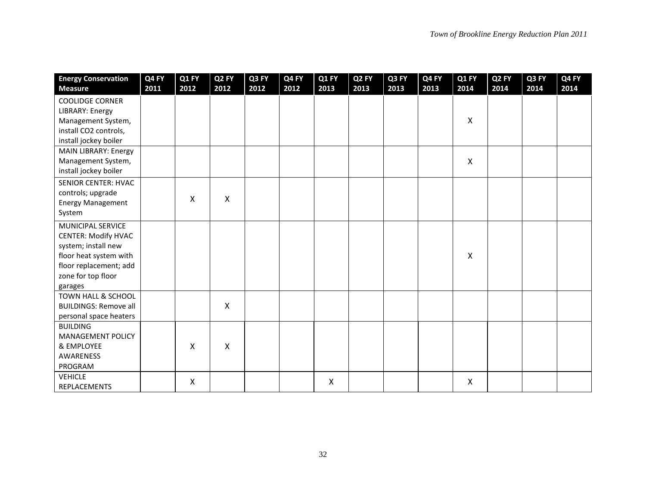| <b>Energy Conservation</b>   | Q4 FY | Q1 FY | Q <sub>2</sub> FY | Q3 FY | Q4 FY | Q1 FY                     | Q <sub>2</sub> FY | Q3 FY | Q4 FY | Q1 FY | Q <sub>2</sub> FY | Q3 FY | Q4 FY |
|------------------------------|-------|-------|-------------------|-------|-------|---------------------------|-------------------|-------|-------|-------|-------------------|-------|-------|
| <b>Measure</b>               | 2011  | 2012  | 2012              | 2012  | 2012  | 2013                      | 2013              | 2013  | 2013  | 2014  | 2014              | 2014  | 2014  |
| <b>COOLIDGE CORNER</b>       |       |       |                   |       |       |                           |                   |       |       |       |                   |       |       |
| <b>LIBRARY: Energy</b>       |       |       |                   |       |       |                           |                   |       |       |       |                   |       |       |
| Management System,           |       |       |                   |       |       |                           |                   |       |       | X     |                   |       |       |
| install CO2 controls,        |       |       |                   |       |       |                           |                   |       |       |       |                   |       |       |
| install jockey boiler        |       |       |                   |       |       |                           |                   |       |       |       |                   |       |       |
| MAIN LIBRARY: Energy         |       |       |                   |       |       |                           |                   |       |       |       |                   |       |       |
| Management System,           |       |       |                   |       |       |                           |                   |       |       | X     |                   |       |       |
| install jockey boiler        |       |       |                   |       |       |                           |                   |       |       |       |                   |       |       |
| <b>SENIOR CENTER: HVAC</b>   |       |       |                   |       |       |                           |                   |       |       |       |                   |       |       |
| controls; upgrade            |       |       |                   |       |       |                           |                   |       |       |       |                   |       |       |
| <b>Energy Management</b>     |       | X     | Χ                 |       |       |                           |                   |       |       |       |                   |       |       |
| System                       |       |       |                   |       |       |                           |                   |       |       |       |                   |       |       |
| MUNICIPAL SERVICE            |       |       |                   |       |       |                           |                   |       |       |       |                   |       |       |
| <b>CENTER: Modify HVAC</b>   |       |       |                   |       |       |                           |                   |       |       |       |                   |       |       |
| system; install new          |       |       |                   |       |       |                           |                   |       |       |       |                   |       |       |
| floor heat system with       |       |       |                   |       |       |                           |                   |       |       | Χ     |                   |       |       |
| floor replacement; add       |       |       |                   |       |       |                           |                   |       |       |       |                   |       |       |
| zone for top floor           |       |       |                   |       |       |                           |                   |       |       |       |                   |       |       |
| garages                      |       |       |                   |       |       |                           |                   |       |       |       |                   |       |       |
| TOWN HALL & SCHOOL           |       |       |                   |       |       |                           |                   |       |       |       |                   |       |       |
| <b>BUILDINGS: Remove all</b> |       |       | X                 |       |       |                           |                   |       |       |       |                   |       |       |
| personal space heaters       |       |       |                   |       |       |                           |                   |       |       |       |                   |       |       |
| <b>BUILDING</b>              |       |       |                   |       |       |                           |                   |       |       |       |                   |       |       |
| <b>MANAGEMENT POLICY</b>     |       |       |                   |       |       |                           |                   |       |       |       |                   |       |       |
| & EMPLOYEE                   |       | X     | Χ                 |       |       |                           |                   |       |       |       |                   |       |       |
| AWARENESS                    |       |       |                   |       |       |                           |                   |       |       |       |                   |       |       |
| PROGRAM                      |       |       |                   |       |       |                           |                   |       |       |       |                   |       |       |
| <b>VEHICLE</b>               |       | X     |                   |       |       | $\boldsymbol{\mathsf{X}}$ |                   |       |       | X     |                   |       |       |
| REPLACEMENTS                 |       |       |                   |       |       |                           |                   |       |       |       |                   |       |       |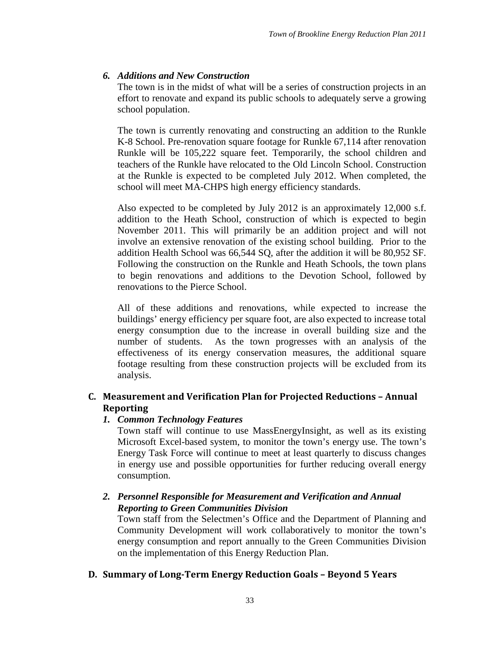# <span id="page-35-0"></span>*6. Additions and New Construction*

The town is in the midst of what will be a series of construction projects in an effort to renovate and expand its public schools to adequately serve a growing school population.

The town is currently renovating and constructing an addition to the Runkle K-8 School. Pre-renovation square footage for Runkle 67,114 after renovation Runkle will be 105,222 square feet. Temporarily, the school children and teachers of the Runkle have relocated to the Old Lincoln School. Construction at the Runkle is expected to be completed July 2012. When completed, the school will meet MA-CHPS high energy efficiency standards.

Also expected to be completed by July 2012 is an approximately 12,000 s.f. addition to the Heath School, construction of which is expected to begin November 2011. This will primarily be an addition project and will not involve an extensive renovation of the existing school building. Prior to the addition Health School was 66,544 SQ, after the addition it will be 80,952 SF. Following the construction on the Runkle and Heath Schools, the town plans to begin renovations and additions to the Devotion School, followed by renovations to the Pierce School.

All of these additions and renovations, while expected to increase the buildings' energy efficiency per square foot, are also expected to increase total energy consumption due to the increase in overall building size and the number of students. As the town progresses with an analysis of the effectiveness of its energy conservation measures, the additional square footage resulting from these construction projects will be excluded from its analysis.

# <span id="page-35-2"></span><span id="page-35-1"></span>**C. Measurement and Verification Plan for Projected Reductions – Annual Reporting**

# *1. Common Technology Features*

Town staff will continue to use MassEnergyInsight, as well as its existing Microsoft Excel-based system, to monitor the town's energy use. The town's Energy Task Force will continue to meet at least quarterly to discuss changes in energy use and possible opportunities for further reducing overall energy consumption.

# <span id="page-35-3"></span>*2. Personnel Responsible for Measurement and Verification and Annual Reporting to Green Communities Division*

Town staff from the Selectmen's Office and the Department of Planning and Community Development will work collaboratively to monitor the town's energy consumption and report annually to the Green Communities Division on the implementation of this Energy Reduction Plan.

# <span id="page-35-4"></span>**D. Summary of Long-Term Energy Reduction Goals – Beyond 5 Years**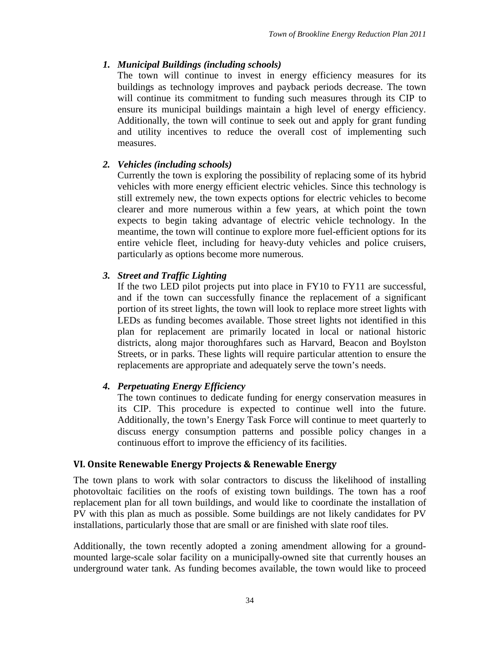# <span id="page-36-0"></span>*1. Municipal Buildings (including schools)*

The town will continue to invest in energy efficiency measures for its buildings as technology improves and payback periods decrease. The town will continue its commitment to funding such measures through its CIP to ensure its municipal buildings maintain a high level of energy efficiency. Additionally, the town will continue to seek out and apply for grant funding and utility incentives to reduce the overall cost of implementing such measures.

# <span id="page-36-1"></span>*2. Vehicles (including schools)*

Currently the town is exploring the possibility of replacing some of its hybrid vehicles with more energy efficient electric vehicles. Since this technology is still extremely new, the town expects options for electric vehicles to become clearer and more numerous within a few years, at which point the town expects to begin taking advantage of electric vehicle technology. In the meantime, the town will continue to explore more fuel-efficient options for its entire vehicle fleet, including for heavy-duty vehicles and police cruisers, particularly as options become more numerous.

# <span id="page-36-2"></span>*3. Street and Traffic Lighting*

If the two LED pilot projects put into place in FY10 to FY11 are successful, and if the town can successfully finance the replacement of a significant portion of its street lights, the town will look to replace more street lights with LEDs as funding becomes available. Those street lights not identified in this plan for replacement are primarily located in local or national historic districts, along major thoroughfares such as Harvard, Beacon and Boylston Streets, or in parks. These lights will require particular attention to ensure the replacements are appropriate and adequately serve the town's needs.

# <span id="page-36-3"></span>*4. Perpetuating Energy Efficiency*

The town continues to dedicate funding for energy conservation measures in its CIP. This procedure is expected to continue well into the future. Additionally, the town's Energy Task Force will continue to meet quarterly to discuss energy consumption patterns and possible policy changes in a continuous effort to improve the efficiency of its facilities.

# <span id="page-36-4"></span>**VI. Onsite Renewable Energy Projects & Renewable Energy**

The town plans to work with solar contractors to discuss the likelihood of installing photovoltaic facilities on the roofs of existing town buildings. The town has a roof replacement plan for all town buildings, and would like to coordinate the installation of PV with this plan as much as possible. Some buildings are not likely candidates for PV installations, particularly those that are small or are finished with slate roof tiles.

Additionally, the town recently adopted a zoning amendment allowing for a groundmounted large-scale solar facility on a municipally-owned site that currently houses an underground water tank. As funding becomes available, the town would like to proceed